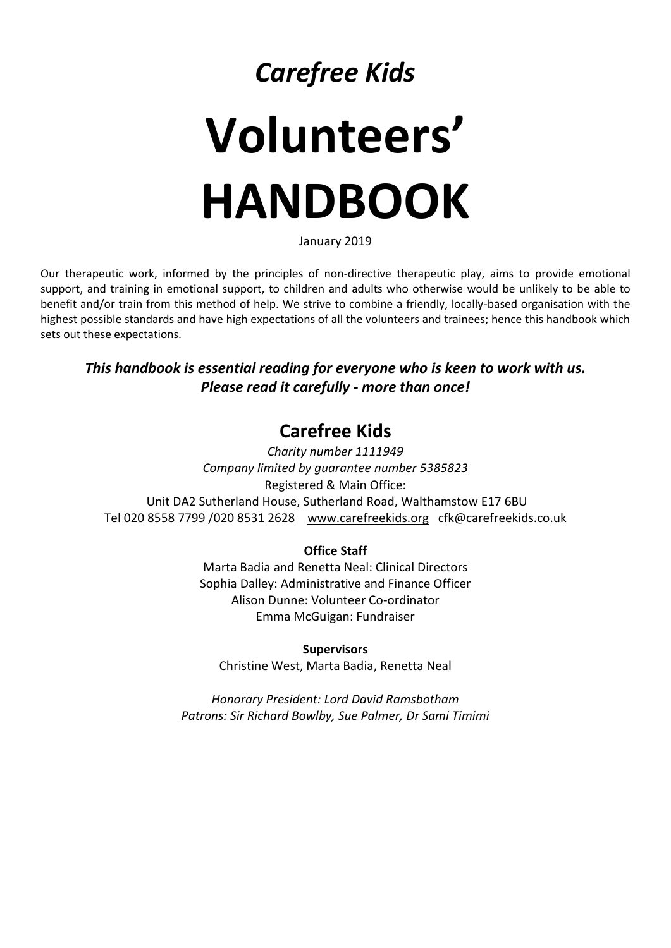## *Carefree Kids*

# **Volunteers' HANDBOOK**

January 2019

Our therapeutic work, informed by the principles of non-directive therapeutic play, aims to provide emotional support, and training in emotional support, to children and adults who otherwise would be unlikely to be able to benefit and/or train from this method of help. We strive to combine a friendly, locally-based organisation with the highest possible standards and have high expectations of all the volunteers and trainees; hence this handbook which sets out these expectations.

## *This handbook is essential reading for everyone who is keen to work with us. Please read it carefully - more than once!*

## **Carefree Kids**

*Charity number 1111949 Company limited by guarantee number 5385823* Registered & Main Office: Unit DA2 Sutherland House, Sutherland Road, Walthamstow E17 6BU Tel 020 8558 7799 /020 8531 2628 [www.carefreekids.org](http://www.carefreekids.org/) cfk@carefreekids.co.uk

## **Office Staff**

Marta Badia and Renetta Neal: Clinical Directors Sophia Dalley: Administrative and Finance Officer Alison Dunne: Volunteer Co-ordinator Emma McGuigan: Fundraiser

**Supervisors** Christine West, Marta Badia, Renetta Neal

*Honorary President: Lord David Ramsbotham Patrons: Sir Richard Bowlby, Sue Palmer, Dr Sami Timimi*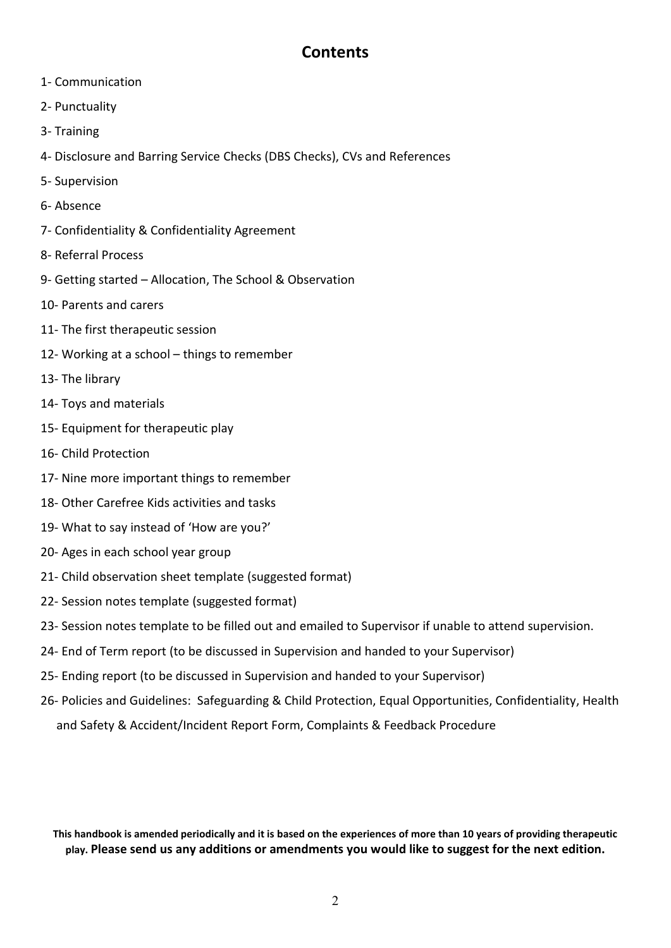## **Contents**

- 1- Communication
- 2- Punctuality
- 3- Training
- 4- Disclosure and Barring Service Checks (DBS Checks), CVs and References
- 5- Supervision
- 6- Absence
- 7- Confidentiality & Confidentiality Agreement
- 8- Referral Process
- 9- Getting started Allocation, The School & Observation
- 10- Parents and carers
- 11- The first therapeutic session
- 12- Working at a school things to remember
- 13- The library
- 14- Toys and materials
- 15- Equipment for therapeutic play
- 16- Child Protection
- 17- Nine more important things to remember
- 18- Other Carefree Kids activities and tasks
- 19- What to say instead of 'How are you?'
- 20- Ages in each school year group
- 21- Child observation sheet template (suggested format)
- 22- Session notes template (suggested format)
- 23- Session notes template to be filled out and emailed to Supervisor if unable to attend supervision.
- 24- End of Term report (to be discussed in Supervision and handed to your Supervisor)
- 25- Ending report (to be discussed in Supervision and handed to your Supervisor)
- 26- Policies and Guidelines: Safeguarding & Child Protection, Equal Opportunities, Confidentiality, Health and Safety & Accident/Incident Report Form, Complaints & Feedback Procedure

**This handbook is amended periodically and it is based on the experiences of more than 10 years of providing therapeutic play. Please send us any additions or amendments you would like to suggest for the next edition.**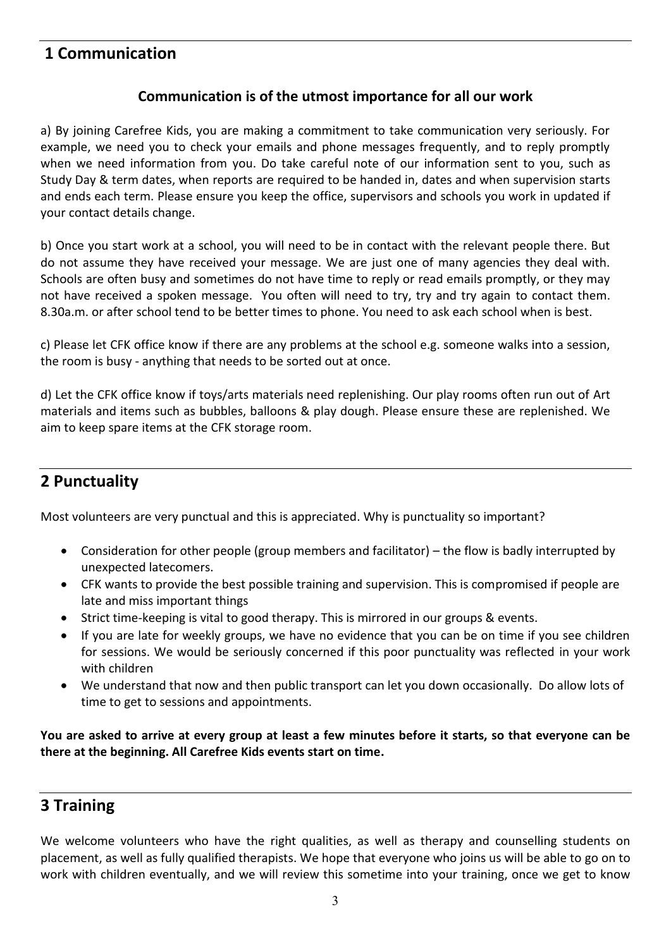## **1 Communication**

## **Communication is of the utmost importance for all our work**

a) By joining Carefree Kids, you are making a commitment to take communication very seriously. For example, we need you to check your emails and phone messages frequently, and to reply promptly when we need information from you. Do take careful note of our information sent to you, such as Study Day & term dates, when reports are required to be handed in, dates and when supervision starts and ends each term. Please ensure you keep the office, supervisors and schools you work in updated if your contact details change.

b) Once you start work at a school, you will need to be in contact with the relevant people there. But do not assume they have received your message. We are just one of many agencies they deal with. Schools are often busy and sometimes do not have time to reply or read emails promptly, or they may not have received a spoken message. You often will need to try, try and try again to contact them. 8.30a.m. or after school tend to be better times to phone. You need to ask each school when is best.

c) Please let CFK office know if there are any problems at the school e.g. someone walks into a session, the room is busy - anything that needs to be sorted out at once.

d) Let the CFK office know if toys/arts materials need replenishing. Our play rooms often run out of Art materials and items such as bubbles, balloons & play dough. Please ensure these are replenished. We aim to keep spare items at the CFK storage room.

## **2 Punctuality**

Most volunteers are very punctual and this is appreciated. Why is punctuality so important?

- Consideration for other people (group members and facilitator) the flow is badly interrupted by unexpected latecomers.
- CFK wants to provide the best possible training and supervision. This is compromised if people are late and miss important things
- Strict time-keeping is vital to good therapy. This is mirrored in our groups & events.
- If you are late for weekly groups, we have no evidence that you can be on time if you see children for sessions. We would be seriously concerned if this poor punctuality was reflected in your work with children
- We understand that now and then public transport can let you down occasionally. Do allow lots of time to get to sessions and appointments.

**You are asked to arrive at every group at least a few minutes before it starts, so that everyone can be there at the beginning. All Carefree Kids events start on time.**

## **3 Training**

We welcome volunteers who have the right qualities, as well as therapy and counselling students on placement, as well as fully qualified therapists. We hope that everyone who joins us will be able to go on to work with children eventually, and we will review this sometime into your training, once we get to know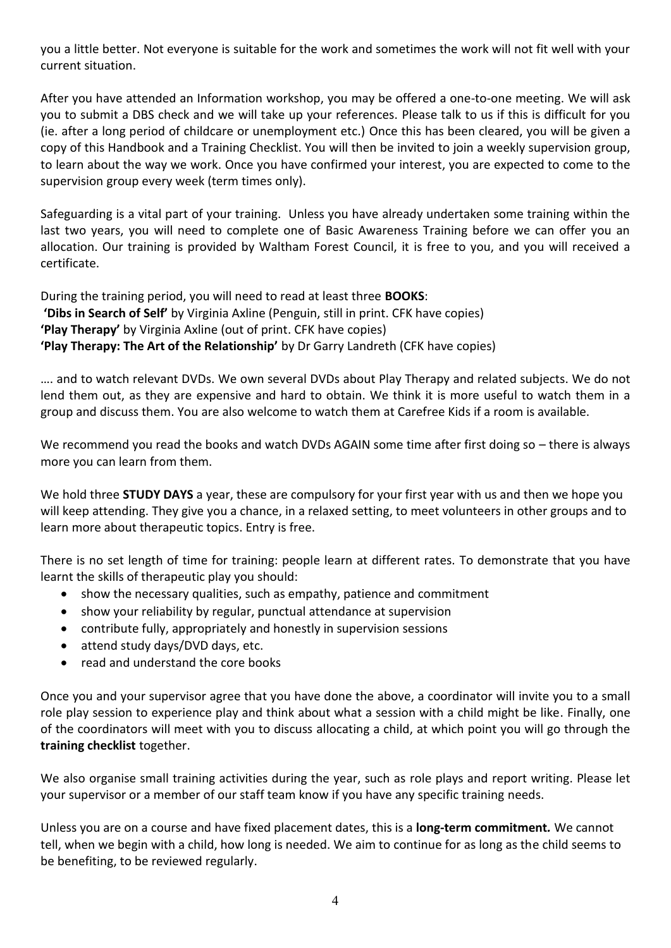you a little better. Not everyone is suitable for the work and sometimes the work will not fit well with your current situation.

After you have attended an Information workshop, you may be offered a one-to-one meeting. We will ask you to submit a DBS check and we will take up your references. Please talk to us if this is difficult for you (ie. after a long period of childcare or unemployment etc.) Once this has been cleared, you will be given a copy of this Handbook and a Training Checklist. You will then be invited to join a weekly supervision group, to learn about the way we work. Once you have confirmed your interest, you are expected to come to the supervision group every week (term times only).

Safeguarding is a vital part of your training. Unless you have already undertaken some training within the last two years, you will need to complete one of Basic Awareness Training before we can offer you an allocation. Our training is provided by Waltham Forest Council, it is free to you, and you will received a certificate.

During the training period, you will need to read at least three **BOOKS**: **'Dibs in Search of Self'** by Virginia Axline (Penguin, still in print. CFK have copies) **'Play Therapy'** by Virginia Axline (out of print. CFK have copies) **'Play Therapy: The Art of the Relationship'** by Dr Garry Landreth (CFK have copies)

…. and to watch relevant DVDs. We own several DVDs about Play Therapy and related subjects. We do not lend them out, as they are expensive and hard to obtain. We think it is more useful to watch them in a group and discuss them. You are also welcome to watch them at Carefree Kids if a room is available.

We recommend you read the books and watch DVDs AGAIN some time after first doing so – there is always more you can learn from them.

We hold three **STUDY DAYS** a year, these are compulsory for your first year with us and then we hope you will keep attending. They give you a chance, in a relaxed setting, to meet volunteers in other groups and to learn more about therapeutic topics. Entry is free.

There is no set length of time for training: people learn at different rates. To demonstrate that you have learnt the skills of therapeutic play you should:

- show the necessary qualities, such as empathy, patience and commitment
- show your reliability by regular, punctual attendance at supervision
- contribute fully, appropriately and honestly in supervision sessions
- attend study days/DVD days, etc.
- read and understand the core books

Once you and your supervisor agree that you have done the above, a coordinator will invite you to a small role play session to experience play and think about what a session with a child might be like. Finally, one of the coordinators will meet with you to discuss allocating a child, at which point you will go through the **training checklist** together.

We also organise small training activities during the year, such as role plays and report writing. Please let your supervisor or a member of our staff team know if you have any specific training needs.

Unless you are on a course and have fixed placement dates, this is a **long-term commitment***.* We cannot tell, when we begin with a child, how long is needed. We aim to continue for as long as the child seems to be benefiting, to be reviewed regularly.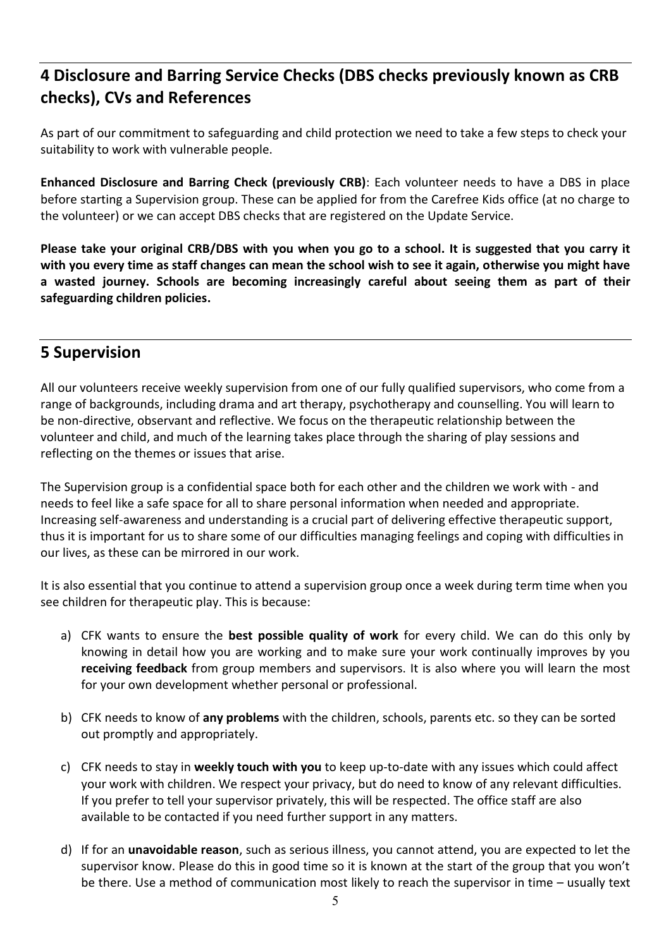## **4 Disclosure and Barring Service Checks (DBS checks previously known as CRB checks), CVs and References**

As part of our commitment to safeguarding and child protection we need to take a few steps to check your suitability to work with vulnerable people.

**Enhanced Disclosure and Barring Check (previously CRB)**: Each volunteer needs to have a DBS in place before starting a Supervision group. These can be applied for from the Carefree Kids office (at no charge to the volunteer) or we can accept DBS checks that are registered on the Update Service.

**Please take your original CRB/DBS with you when you go to a school. It is suggested that you carry it with you every time as staff changes can mean the school wish to see it again, otherwise you might have a wasted journey. Schools are becoming increasingly careful about seeing them as part of their safeguarding children policies.**

## **5 Supervision**

All our volunteers receive weekly supervision from one of our fully qualified supervisors, who come from a range of backgrounds, including drama and art therapy, psychotherapy and counselling. You will learn to be non-directive, observant and reflective. We focus on the therapeutic relationship between the volunteer and child, and much of the learning takes place through the sharing of play sessions and reflecting on the themes or issues that arise.

The Supervision group is a confidential space both for each other and the children we work with - and needs to feel like a safe space for all to share personal information when needed and appropriate. Increasing self-awareness and understanding is a crucial part of delivering effective therapeutic support, thus it is important for us to share some of our difficulties managing feelings and coping with difficulties in our lives, as these can be mirrored in our work.

It is also essential that you continue to attend a supervision group once a week during term time when you see children for therapeutic play. This is because:

- a) CFK wants to ensure the **best possible quality of work** for every child. We can do this only by knowing in detail how you are working and to make sure your work continually improves by you **receiving feedback** from group members and supervisors. It is also where you will learn the most for your own development whether personal or professional.
- b) CFK needs to know of **any problems** with the children, schools, parents etc. so they can be sorted out promptly and appropriately.
- c) CFK needs to stay in **weekly touch with you** to keep up-to-date with any issues which could affect your work with children. We respect your privacy, but do need to know of any relevant difficulties. If you prefer to tell your supervisor privately, this will be respected. The office staff are also available to be contacted if you need further support in any matters.
- d) If for an **unavoidable reason**, such as serious illness, you cannot attend, you are expected to let the supervisor know. Please do this in good time so it is known at the start of the group that you won't be there. Use a method of communication most likely to reach the supervisor in time – usually text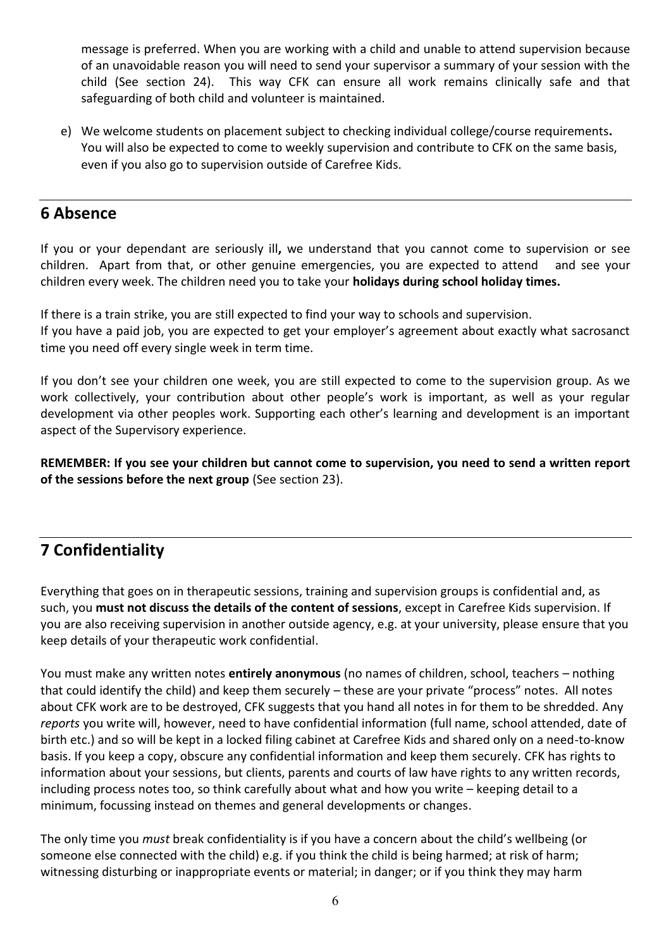message is preferred. When you are working with a child and unable to attend supervision because of an unavoidable reason you will need to send your supervisor a summary of your session with the child (See section 24). This way CFK can ensure all work remains clinically safe and that safeguarding of both child and volunteer is maintained.

e) We welcome students on placement subject to checking individual college/course requirements**.** You will also be expected to come to weekly supervision and contribute to CFK on the same basis, even if you also go to supervision outside of Carefree Kids.

## **6 Absence**

If you or your dependant are seriously ill**,** we understand that you cannot come to supervision or see children. Apart from that, or other genuine emergencies, you are expected to attend and see your children every week. The children need you to take your **holidays during school holiday times.** 

If there is a train strike, you are still expected to find your way to schools and supervision. If you have a paid job, you are expected to get your employer's agreement about exactly what sacrosanct time you need off every single week in term time.

If you don't see your children one week, you are still expected to come to the supervision group. As we work collectively, your contribution about other people's work is important, as well as your regular development via other peoples work. Supporting each other's learning and development is an important aspect of the Supervisory experience.

**REMEMBER: If you see your children but cannot come to supervision, you need to send a written report of the sessions before the next group** (See section 23).

## **7 Confidentiality**

Everything that goes on in therapeutic sessions, training and supervision groups is confidential and, as such, you **must not discuss the details of the content of sessions**, except in Carefree Kids supervision. If you are also receiving supervision in another outside agency, e.g. at your university, please ensure that you keep details of your therapeutic work confidential.

You must make any written notes **entirely anonymous** (no names of children, school, teachers – nothing that could identify the child) and keep them securely – these are your private "process" notes. All notes about CFK work are to be destroyed, CFK suggests that you hand all notes in for them to be shredded. Any *reports* you write will, however, need to have confidential information (full name, school attended, date of birth etc.) and so will be kept in a locked filing cabinet at Carefree Kids and shared only on a need-to-know basis. If you keep a copy, obscure any confidential information and keep them securely. CFK has rights to information about your sessions, but clients, parents and courts of law have rights to any written records, including process notes too, so think carefully about what and how you write – keeping detail to a minimum, focussing instead on themes and general developments or changes.

The only time you *must* break confidentiality is if you have a concern about the child's wellbeing (or someone else connected with the child) e.g. if you think the child is being harmed; at risk of harm; witnessing disturbing or inappropriate events or material; in danger; or if you think they may harm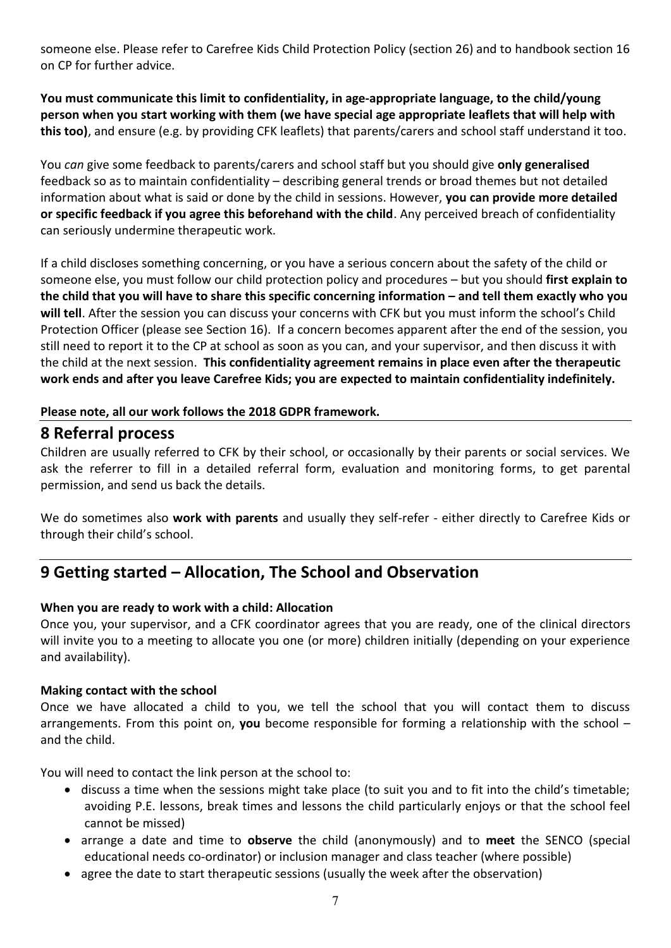someone else. Please refer to Carefree Kids Child Protection Policy (section 26) and to handbook section 16 on CP for further advice.

**You must communicate this limit to confidentiality, in age-appropriate language, to the child/young person when you start working with them (we have special age appropriate leaflets that will help with this too)**, and ensure (e.g. by providing CFK leaflets) that parents/carers and school staff understand it too.

You *can* give some feedback to parents/carers and school staff but you should give **only generalised** feedback so as to maintain confidentiality – describing general trends or broad themes but not detailed information about what is said or done by the child in sessions. However, **you can provide more detailed or specific feedback if you agree this beforehand with the child**. Any perceived breach of confidentiality can seriously undermine therapeutic work.

If a child discloses something concerning, or you have a serious concern about the safety of the child or someone else, you must follow our child protection policy and procedures – but you should **first explain to the child that you will have to share this specific concerning information – and tell them exactly who you will tell**. After the session you can discuss your concerns with CFK but you must inform the school's Child Protection Officer (please see Section 16). If a concern becomes apparent after the end of the session, you still need to report it to the CP at school as soon as you can, and your supervisor, and then discuss it with the child at the next session. **This confidentiality agreement remains in place even after the therapeutic work ends and after you leave Carefree Kids; you are expected to maintain confidentiality indefinitely.** 

#### **Please note, all our work follows the 2018 GDPR framework.**

## **8 Referral process**

Children are usually referred to CFK by their school, or occasionally by their parents or social services. We ask the referrer to fill in a detailed referral form, evaluation and monitoring forms, to get parental permission, and send us back the details.

We do sometimes also **work with parents** and usually they self-refer - either directly to Carefree Kids or through their child's school.

## **9 Getting started – Allocation, The School and Observation**

#### **When you are ready to work with a child: Allocation**

Once you, your supervisor, and a CFK coordinator agrees that you are ready, one of the clinical directors will invite you to a meeting to allocate you one (or more) children initially (depending on your experience and availability).

#### **Making contact with the school**

Once we have allocated a child to you, we tell the school that you will contact them to discuss arrangements. From this point on, **you** become responsible for forming a relationship with the school – and the child.

You will need to contact the link person at the school to:

- discuss a time when the sessions might take place (to suit you and to fit into the child's timetable; avoiding P.E. lessons, break times and lessons the child particularly enjoys or that the school feel cannot be missed)
- arrange a date and time to **observe** the child (anonymously) and to **meet** the SENCO (special educational needs co-ordinator) or inclusion manager and class teacher (where possible)
- agree the date to start therapeutic sessions (usually the week after the observation)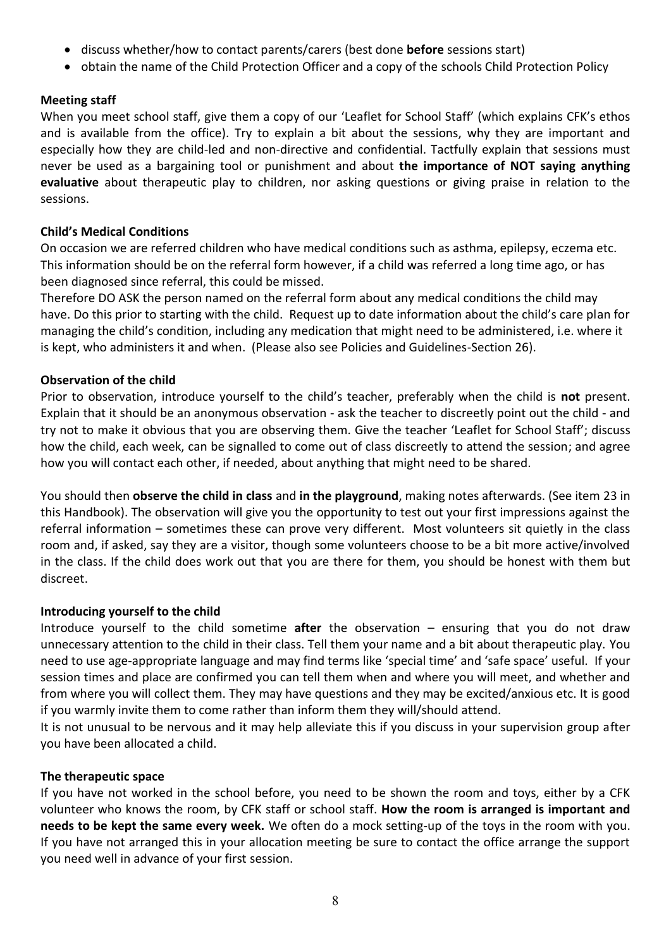- discuss whether/how to contact parents/carers (best done **before** sessions start)
- obtain the name of the Child Protection Officer and a copy of the schools Child Protection Policy

## **Meeting staff**

When you meet school staff, give them a copy of our 'Leaflet for School Staff' (which explains CFK's ethos and is available from the office). Try to explain a bit about the sessions, why they are important and especially how they are child-led and non-directive and confidential. Tactfully explain that sessions must never be used as a bargaining tool or punishment and about **the importance of NOT saying anything evaluative** about therapeutic play to children, nor asking questions or giving praise in relation to the sessions.

#### **Child's Medical Conditions**

On occasion we are referred children who have medical conditions such as asthma, epilepsy, eczema etc. This information should be on the referral form however, if a child was referred a long time ago, or has been diagnosed since referral, this could be missed.

Therefore DO ASK the person named on the referral form about any medical conditions the child may have. Do this prior to starting with the child. Request up to date information about the child's care plan for managing the child's condition, including any medication that might need to be administered, i.e. where it is kept, who administers it and when. (Please also see Policies and Guidelines-Section 26).

#### **Observation of the child**

Prior to observation, introduce yourself to the child's teacher, preferably when the child is **not** present. Explain that it should be an anonymous observation - ask the teacher to discreetly point out the child - and try not to make it obvious that you are observing them. Give the teacher 'Leaflet for School Staff'; discuss how the child, each week, can be signalled to come out of class discreetly to attend the session; and agree how you will contact each other, if needed, about anything that might need to be shared.

You should then **observe the child in class** and **in the playground**, making notes afterwards. (See item 23 in this Handbook). The observation will give you the opportunity to test out your first impressions against the referral information – sometimes these can prove very different. Most volunteers sit quietly in the class room and, if asked, say they are a visitor, though some volunteers choose to be a bit more active/involved in the class. If the child does work out that you are there for them, you should be honest with them but discreet.

#### **Introducing yourself to the child**

Introduce yourself to the child sometime **after** the observation – ensuring that you do not draw unnecessary attention to the child in their class. Tell them your name and a bit about therapeutic play. You need to use age-appropriate language and may find terms like 'special time' and 'safe space' useful. If your session times and place are confirmed you can tell them when and where you will meet, and whether and from where you will collect them. They may have questions and they may be excited/anxious etc. It is good if you warmly invite them to come rather than inform them they will/should attend.

It is not unusual to be nervous and it may help alleviate this if you discuss in your supervision group after you have been allocated a child.

#### **The therapeutic space**

If you have not worked in the school before, you need to be shown the room and toys, either by a CFK volunteer who knows the room, by CFK staff or school staff. **How the room is arranged is important and needs to be kept the same every week.** We often do a mock setting-up of the toys in the room with you. If you have not arranged this in your allocation meeting be sure to contact the office arrange the support you need well in advance of your first session.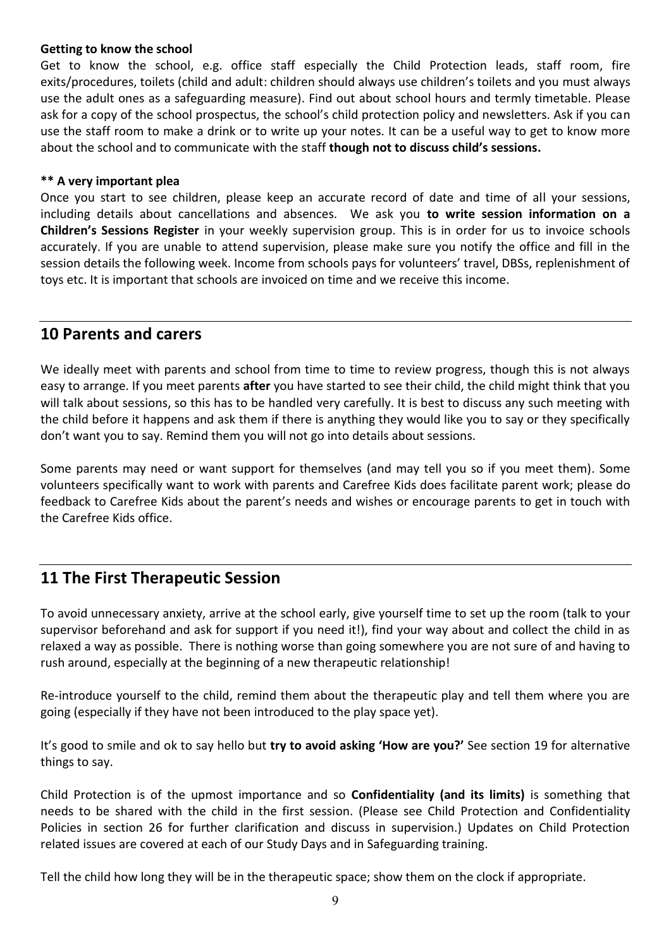#### **Getting to know the school**

Get to know the school, e.g. office staff especially the Child Protection leads, staff room, fire exits/procedures, toilets (child and adult: children should always use children's toilets and you must always use the adult ones as a safeguarding measure). Find out about school hours and termly timetable. Please ask for a copy of the school prospectus, the school's child protection policy and newsletters. Ask if you can use the staff room to make a drink or to write up your notes. It can be a useful way to get to know more about the school and to communicate with the staff **though not to discuss child's sessions.**

#### **\*\* A very important plea**

Once you start to see children, please keep an accurate record of date and time of all your sessions, including details about cancellations and absences. We ask you **to write session information on a Children's Sessions Register** in your weekly supervision group. This is in order for us to invoice schools accurately. If you are unable to attend supervision, please make sure you notify the office and fill in the session details the following week. Income from schools pays for volunteers' travel, DBSs, replenishment of toys etc. It is important that schools are invoiced on time and we receive this income.

## **10 Parents and carers**

We ideally meet with parents and school from time to time to review progress, though this is not always easy to arrange. If you meet parents **after** you have started to see their child, the child might think that you will talk about sessions, so this has to be handled very carefully. It is best to discuss any such meeting with the child before it happens and ask them if there is anything they would like you to say or they specifically don't want you to say. Remind them you will not go into details about sessions.

Some parents may need or want support for themselves (and may tell you so if you meet them). Some volunteers specifically want to work with parents and Carefree Kids does facilitate parent work; please do feedback to Carefree Kids about the parent's needs and wishes or encourage parents to get in touch with the Carefree Kids office.

## **11 The First Therapeutic Session**

To avoid unnecessary anxiety, arrive at the school early, give yourself time to set up the room (talk to your supervisor beforehand and ask for support if you need it!), find your way about and collect the child in as relaxed a way as possible. There is nothing worse than going somewhere you are not sure of and having to rush around, especially at the beginning of a new therapeutic relationship!

Re-introduce yourself to the child, remind them about the therapeutic play and tell them where you are going (especially if they have not been introduced to the play space yet).

It's good to smile and ok to say hello but **try to avoid asking 'How are you?'** See section 19 for alternative things to say.

Child Protection is of the upmost importance and so **Confidentiality (and its limits)** is something that needs to be shared with the child in the first session. (Please see Child Protection and Confidentiality Policies in section 26 for further clarification and discuss in supervision.) Updates on Child Protection related issues are covered at each of our Study Days and in Safeguarding training.

Tell the child how long they will be in the therapeutic space; show them on the clock if appropriate.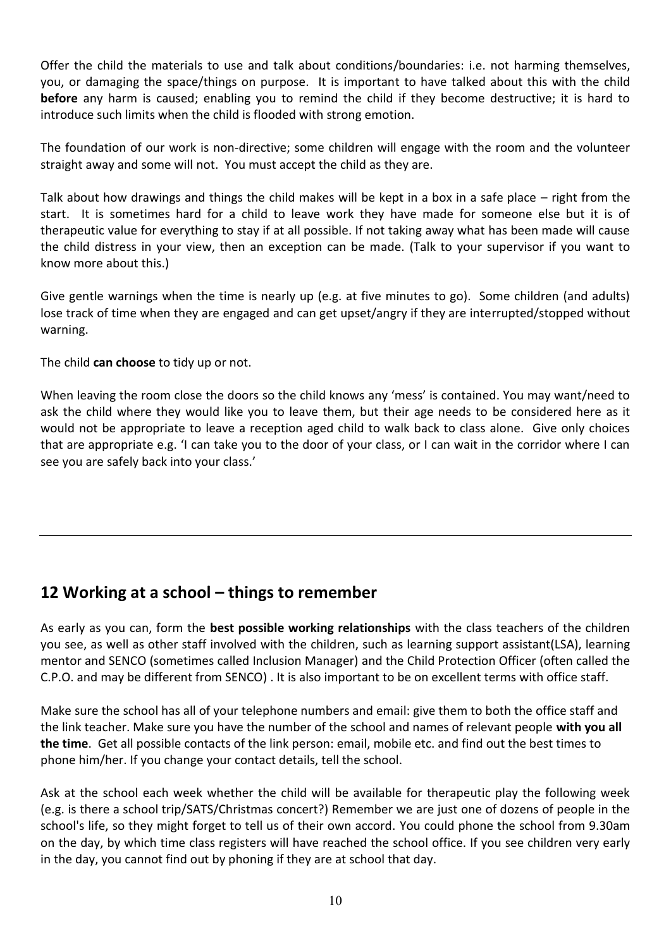Offer the child the materials to use and talk about conditions/boundaries: i.e. not harming themselves, you, or damaging the space/things on purpose. It is important to have talked about this with the child **before** any harm is caused; enabling you to remind the child if they become destructive; it is hard to introduce such limits when the child is flooded with strong emotion.

The foundation of our work is non-directive; some children will engage with the room and the volunteer straight away and some will not. You must accept the child as they are.

Talk about how drawings and things the child makes will be kept in a box in a safe place – right from the start. It is sometimes hard for a child to leave work they have made for someone else but it is of therapeutic value for everything to stay if at all possible. If not taking away what has been made will cause the child distress in your view, then an exception can be made. (Talk to your supervisor if you want to know more about this.)

Give gentle warnings when the time is nearly up (e.g. at five minutes to go). Some children (and adults) lose track of time when they are engaged and can get upset/angry if they are interrupted/stopped without warning.

The child **can choose** to tidy up or not.

When leaving the room close the doors so the child knows any 'mess' is contained. You may want/need to ask the child where they would like you to leave them, but their age needs to be considered here as it would not be appropriate to leave a reception aged child to walk back to class alone. Give only choices that are appropriate e.g. 'I can take you to the door of your class, or I can wait in the corridor where I can see you are safely back into your class.'

## **12 Working at a school – things to remember**

As early as you can, form the **best possible working relationships** with the class teachers of the children you see, as well as other staff involved with the children, such as learning support assistant(LSA), learning mentor and SENCO (sometimes called Inclusion Manager) and the Child Protection Officer (often called the C.P.O. and may be different from SENCO) . It is also important to be on excellent terms with office staff.

Make sure the school has all of your telephone numbers and email: give them to both the office staff and the link teacher. Make sure you have the number of the school and names of relevant people **with you all the time**. Get all possible contacts of the link person: email, mobile etc. and find out the best times to phone him/her. If you change your contact details, tell the school.

Ask at the school each week whether the child will be available for therapeutic play the following week (e.g. is there a school trip/SATS/Christmas concert?) Remember we are just one of dozens of people in the school's life, so they might forget to tell us of their own accord. You could phone the school from 9.30am on the day, by which time class registers will have reached the school office. If you see children very early in the day, you cannot find out by phoning if they are at school that day.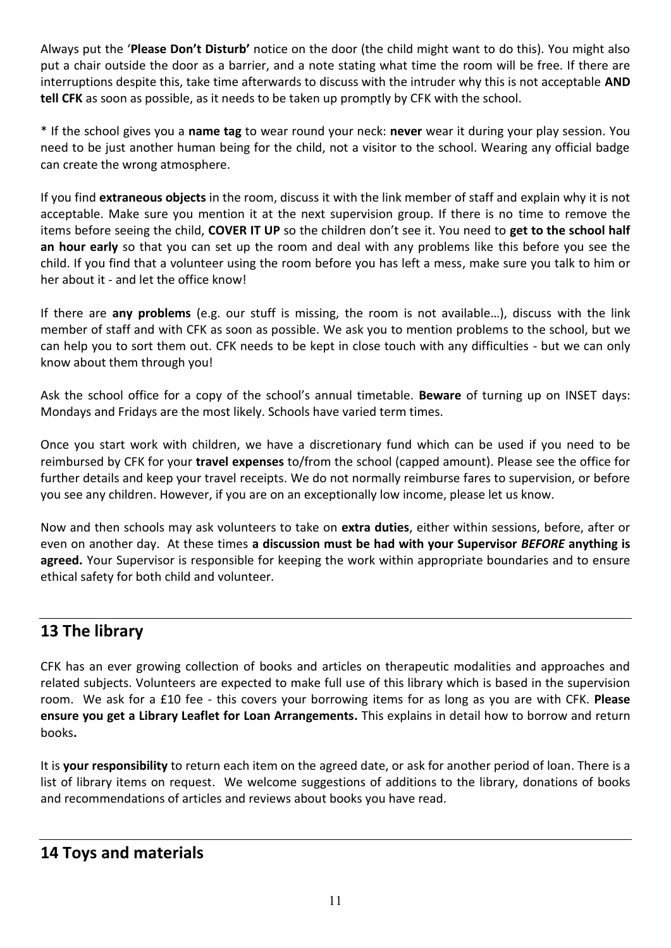Always put the '**Please Don't Disturb'** notice on the door (the child might want to do this). You might also put a chair outside the door as a barrier, and a note stating what time the room will be free. If there are interruptions despite this, take time afterwards to discuss with the intruder why this is not acceptable **AND tell CFK** as soon as possible, as it needs to be taken up promptly by CFK with the school.

\* If the school gives you a **name tag** to wear round your neck: **never** wear it during your play session. You need to be just another human being for the child, not a visitor to the school. Wearing any official badge can create the wrong atmosphere.

If you find **extraneous objects** in the room, discuss it with the link member of staff and explain why it is not acceptable. Make sure you mention it at the next supervision group. If there is no time to remove the items before seeing the child, **COVER IT UP** so the children don't see it. You need to **get to the school half an hour early** so that you can set up the room and deal with any problems like this before you see the child. If you find that a volunteer using the room before you has left a mess, make sure you talk to him or her about it - and let the office know!

If there are **any problems** (e.g. our stuff is missing, the room is not available…), discuss with the link member of staff and with CFK as soon as possible. We ask you to mention problems to the school, but we can help you to sort them out. CFK needs to be kept in close touch with any difficulties - but we can only know about them through you!

Ask the school office for a copy of the school's annual timetable. **Beware** of turning up on INSET days: Mondays and Fridays are the most likely. Schools have varied term times.

Once you start work with children, we have a discretionary fund which can be used if you need to be reimbursed by CFK for your **travel expenses** to/from the school (capped amount). Please see the office for further details and keep your travel receipts. We do not normally reimburse fares to supervision, or before you see any children. However, if you are on an exceptionally low income, please let us know.

Now and then schools may ask volunteers to take on **extra duties**, either within sessions, before, after or even on another day. At these times **a discussion must be had with your Supervisor** *BEFORE* **anything is agreed.** Your Supervisor is responsible for keeping the work within appropriate boundaries and to ensure ethical safety for both child and volunteer.

## **13 The library**

CFK has an ever growing collection of books and articles on therapeutic modalities and approaches and related subjects. Volunteers are expected to make full use of this library which is based in the supervision room. We ask for a £10 fee - this covers your borrowing items for as long as you are with CFK. **Please ensure you get a Library Leaflet for Loan Arrangements.** This explains in detail how to borrow and return books**.**

It is **your responsibility** to return each item on the agreed date, or ask for another period of loan. There is a list of library items on request. We welcome suggestions of additions to the library, donations of books and recommendations of articles and reviews about books you have read.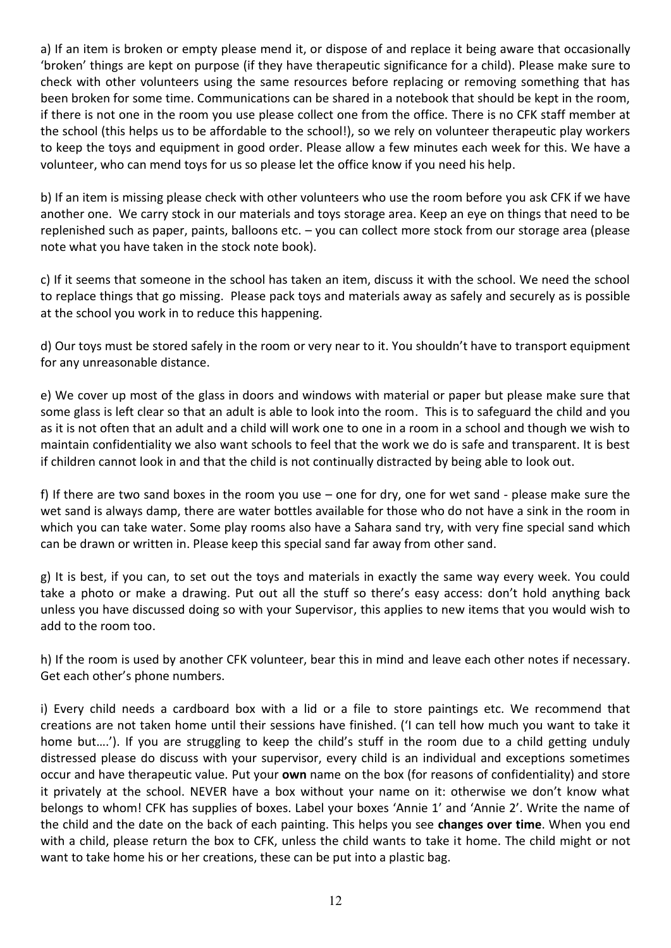a) If an item is broken or empty please mend it, or dispose of and replace it being aware that occasionally 'broken' things are kept on purpose (if they have therapeutic significance for a child). Please make sure to check with other volunteers using the same resources before replacing or removing something that has been broken for some time. Communications can be shared in a notebook that should be kept in the room, if there is not one in the room you use please collect one from the office. There is no CFK staff member at the school (this helps us to be affordable to the school!), so we rely on volunteer therapeutic play workers to keep the toys and equipment in good order. Please allow a few minutes each week for this. We have a volunteer, who can mend toys for us so please let the office know if you need his help.

b) If an item is missing please check with other volunteers who use the room before you ask CFK if we have another one. We carry stock in our materials and toys storage area. Keep an eye on things that need to be replenished such as paper, paints, balloons etc. – you can collect more stock from our storage area (please note what you have taken in the stock note book).

c) If it seems that someone in the school has taken an item, discuss it with the school. We need the school to replace things that go missing. Please pack toys and materials away as safely and securely as is possible at the school you work in to reduce this happening.

d) Our toys must be stored safely in the room or very near to it. You shouldn't have to transport equipment for any unreasonable distance.

e) We cover up most of the glass in doors and windows with material or paper but please make sure that some glass is left clear so that an adult is able to look into the room. This is to safeguard the child and you as it is not often that an adult and a child will work one to one in a room in a school and though we wish to maintain confidentiality we also want schools to feel that the work we do is safe and transparent. It is best if children cannot look in and that the child is not continually distracted by being able to look out.

f) If there are two sand boxes in the room you use – one for dry, one for wet sand - please make sure the wet sand is always damp, there are water bottles available for those who do not have a sink in the room in which you can take water. Some play rooms also have a Sahara sand try, with very fine special sand which can be drawn or written in. Please keep this special sand far away from other sand.

g) It is best, if you can, to set out the toys and materials in exactly the same way every week. You could take a photo or make a drawing. Put out all the stuff so there's easy access: don't hold anything back unless you have discussed doing so with your Supervisor, this applies to new items that you would wish to add to the room too.

h) If the room is used by another CFK volunteer, bear this in mind and leave each other notes if necessary. Get each other's phone numbers.

i) Every child needs a cardboard box with a lid or a file to store paintings etc. We recommend that creations are not taken home until their sessions have finished. ('I can tell how much you want to take it home but....'). If you are struggling to keep the child's stuff in the room due to a child getting unduly distressed please do discuss with your supervisor, every child is an individual and exceptions sometimes occur and have therapeutic value. Put your **own** name on the box (for reasons of confidentiality) and store it privately at the school. NEVER have a box without your name on it: otherwise we don't know what belongs to whom! CFK has supplies of boxes. Label your boxes 'Annie 1' and 'Annie 2'. Write the name of the child and the date on the back of each painting. This helps you see **changes over time**. When you end with a child, please return the box to CFK, unless the child wants to take it home. The child might or not want to take home his or her creations, these can be put into a plastic bag.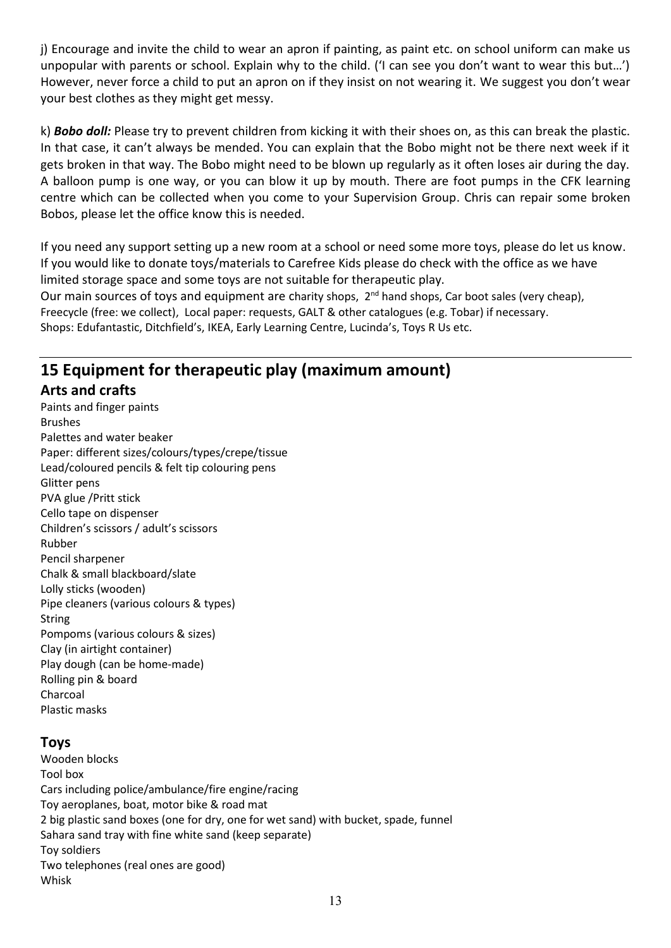j) Encourage and invite the child to wear an apron if painting, as paint etc. on school uniform can make us unpopular with parents or school. Explain why to the child. ('I can see you don't want to wear this but…') However, never force a child to put an apron on if they insist on not wearing it. We suggest you don't wear your best clothes as they might get messy.

k) *Bobo doll:* Please try to prevent children from kicking it with their shoes on, as this can break the plastic. In that case, it can't always be mended. You can explain that the Bobo might not be there next week if it gets broken in that way. The Bobo might need to be blown up regularly as it often loses air during the day. A balloon pump is one way, or you can blow it up by mouth. There are foot pumps in the CFK learning centre which can be collected when you come to your Supervision Group. Chris can repair some broken Bobos, please let the office know this is needed.

If you need any support setting up a new room at a school or need some more toys, please do let us know. If you would like to donate toys/materials to Carefree Kids please do check with the office as we have limited storage space and some toys are not suitable for therapeutic play.

Our main sources of toys and equipment are charity shops, 2<sup>nd</sup> hand shops, Car boot sales (very cheap), Freecycle (free: we collect), Local paper: requests, GALT & other catalogues (e.g. Tobar) if necessary. Shops: Edufantastic, Ditchfield's, IKEA, Early Learning Centre, Lucinda's, Toys R Us etc.

## **15 Equipment for therapeutic play (maximum amount) Arts and crafts**

Paints and finger paints Brushes Palettes and water beaker Paper: different sizes/colours/types/crepe/tissue Lead/coloured pencils & felt tip colouring pens Glitter pens PVA glue /Pritt stick Cello tape on dispenser Children's scissors / adult's scissors Rubber Pencil sharpener Chalk & small blackboard/slate Lolly sticks (wooden) Pipe cleaners (various colours & types) String Pompoms (various colours & sizes) Clay (in airtight container) Play dough (can be home-made) Rolling pin & board Charcoal Plastic masks

## **Toys**

Wooden blocks Tool box Cars including police/ambulance/fire engine/racing Toy aeroplanes, boat, motor bike & road mat 2 big plastic sand boxes (one for dry, one for wet sand) with bucket, spade, funnel Sahara sand tray with fine white sand (keep separate) Toy soldiers Two telephones (real ones are good) Whisk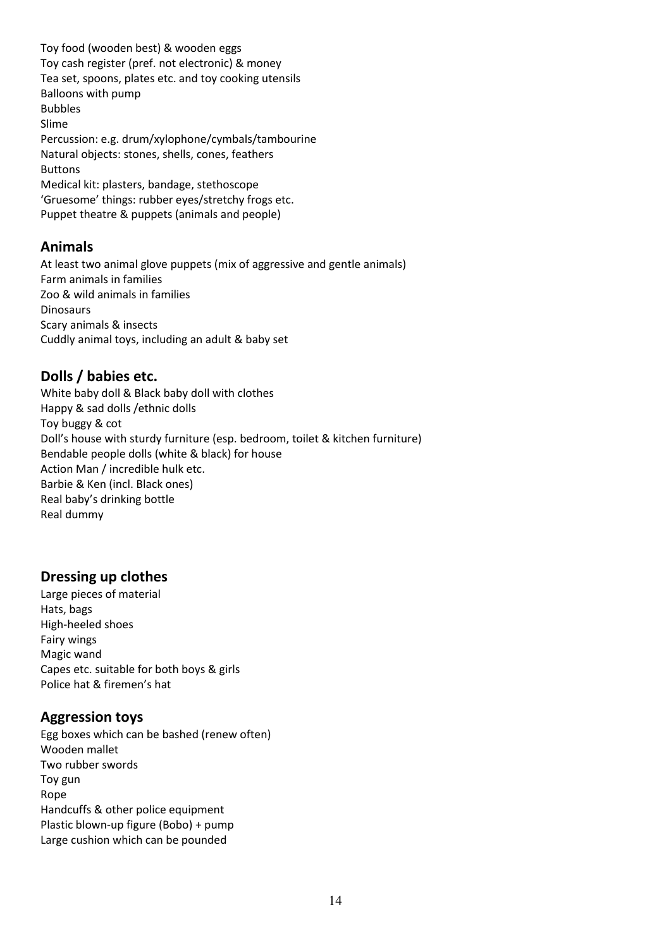Toy food (wooden best) & wooden eggs Toy cash register (pref. not electronic) & money Tea set, spoons, plates etc. and toy cooking utensils Balloons with pump Bubbles Slime Percussion: e.g. drum/xylophone/cymbals/tambourine Natural objects: stones, shells, cones, feathers Buttons Medical kit: plasters, bandage, stethoscope 'Gruesome' things: rubber eyes/stretchy frogs etc. Puppet theatre & puppets (animals and people)

## **Animals**

At least two animal glove puppets (mix of aggressive and gentle animals) Farm animals in families Zoo & wild animals in families Dinosaurs Scary animals & insects Cuddly animal toys, including an adult & baby set

## **Dolls / babies etc.**

White baby doll & Black baby doll with clothes Happy & sad dolls /ethnic dolls Toy buggy & cot Doll's house with sturdy furniture (esp. bedroom, toilet & kitchen furniture) Bendable people dolls (white & black) for house Action Man / incredible hulk etc. Barbie & Ken (incl. Black ones) Real baby's drinking bottle Real dummy

## **Dressing up clothes**

Large pieces of material Hats, bags High-heeled shoes Fairy wings Magic wand Capes etc. suitable for both boys & girls Police hat & firemen's hat

## **Aggression toys**

Egg boxes which can be bashed (renew often) Wooden mallet Two rubber swords Toy gun Rope Handcuffs & other police equipment Plastic blown-up figure (Bobo) + pump Large cushion which can be pounded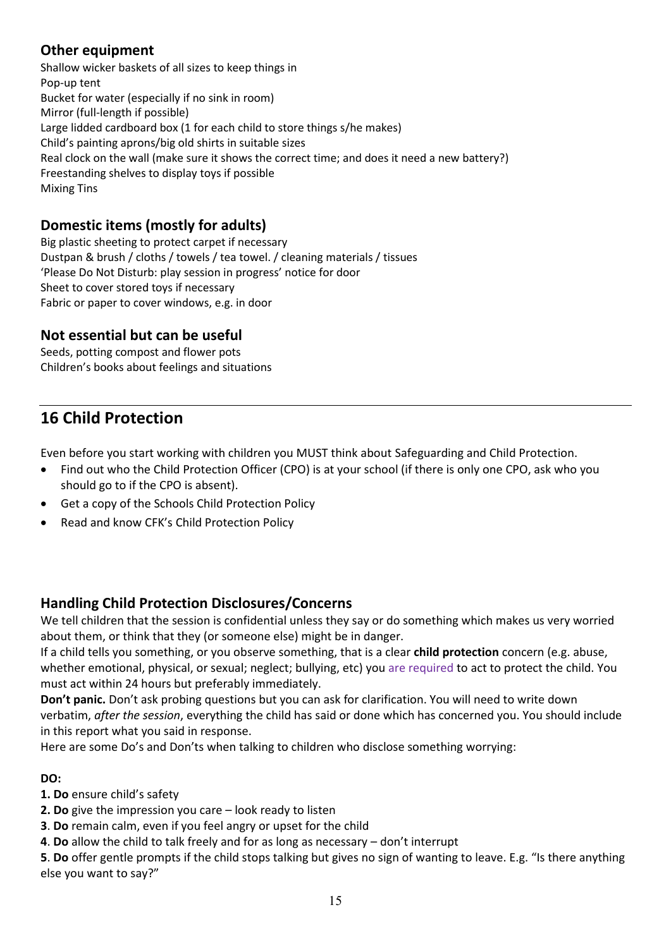## **Other equipment**

Shallow wicker baskets of all sizes to keep things in Pop-up tent Bucket for water (especially if no sink in room) Mirror (full-length if possible) Large lidded cardboard box (1 for each child to store things s/he makes) Child's painting aprons/big old shirts in suitable sizes Real clock on the wall (make sure it shows the correct time; and does it need a new battery?) Freestanding shelves to display toys if possible Mixing Tins

## **Domestic items (mostly for adults)**

Big plastic sheeting to protect carpet if necessary Dustpan & brush / cloths / towels / tea towel. / cleaning materials / tissues 'Please Do Not Disturb: play session in progress' notice for door Sheet to cover stored toys if necessary Fabric or paper to cover windows, e.g. in door

## **Not essential but can be useful**

Seeds, potting compost and flower pots Children's books about feelings and situations

## **16 Child Protection**

Even before you start working with children you MUST think about Safeguarding and Child Protection.

- Find out who the Child Protection Officer (CPO) is at your school (if there is only one CPO, ask who you should go to if the CPO is absent).
- Get a copy of the Schools Child Protection Policy
- Read and know CFK's Child Protection Policy

## **Handling Child Protection Disclosures/Concerns**

We tell children that the session is confidential unless they say or do something which makes us very worried about them, or think that they (or someone else) might be in danger.

If a child tells you something, or you observe something, that is a clear **child protection** concern (e.g. abuse, whether emotional, physical, or sexual; neglect; bullying, etc) you are required to act to protect the child. You must act within 24 hours but preferably immediately.

**Don't panic.** Don't ask probing questions but you can ask for clarification. You will need to write down verbatim, *after the session*, everything the child has said or done which has concerned you. You should include in this report what you said in response.

Here are some Do's and Don'ts when talking to children who disclose something worrying:

#### **DO:**

**1. Do** ensure child's safety

**2. Do** give the impression you care – look ready to listen

- **3**. **Do** remain calm, even if you feel angry or upset for the child
- **4**. **Do** allow the child to talk freely and for as long as necessary don't interrupt

**5**. **Do** offer gentle prompts if the child stops talking but gives no sign of wanting to leave. E.g. "Is there anything else you want to say?"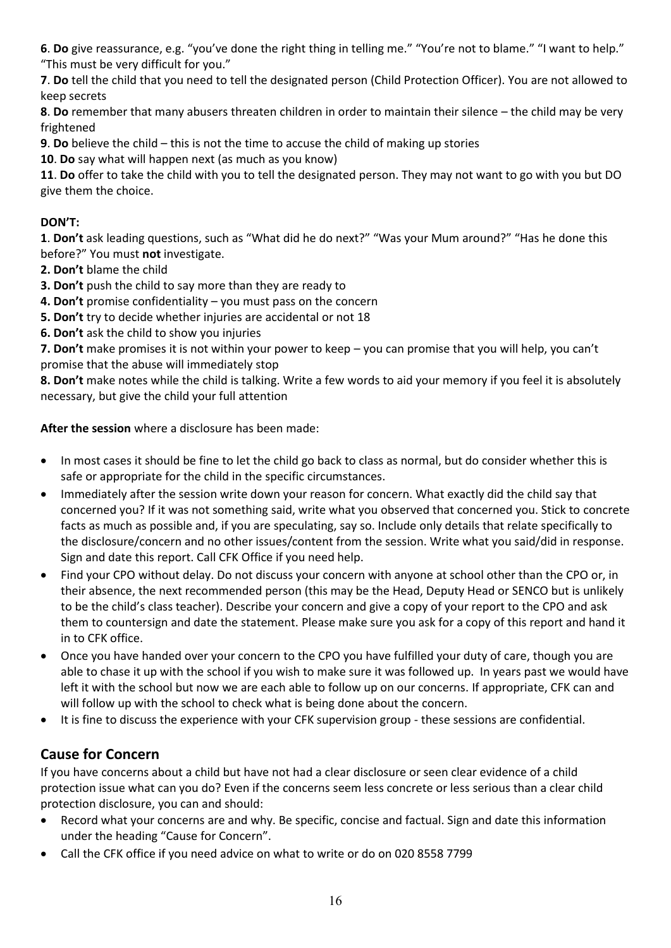**6**. **Do** give reassurance, e.g. "you've done the right thing in telling me." "You're not to blame." "I want to help." "This must be very difficult for you."

**7**. **Do** tell the child that you need to tell the designated person (Child Protection Officer). You are not allowed to keep secrets

**8**. **Do** remember that many abusers threaten children in order to maintain their silence – the child may be very frightened

**9**. **Do** believe the child – this is not the time to accuse the child of making up stories

**10**. **Do** say what will happen next (as much as you know)

**11**. **Do** offer to take the child with you to tell the designated person. They may not want to go with you but DO give them the choice.

#### **DON'T:**

**1**. **Don't** ask leading questions, such as "What did he do next?" "Was your Mum around?" "Has he done this before?" You must **not** investigate.

- **2. Don't** blame the child
- **3. Don't** push the child to say more than they are ready to
- **4. Don't** promise confidentiality you must pass on the concern
- **5. Don't** try to decide whether injuries are accidental or not 18

**6. Don't** ask the child to show you injuries

**7. Don't** make promises it is not within your power to keep – you can promise that you will help, you can't promise that the abuse will immediately stop

**8. Don't** make notes while the child is talking. Write a few words to aid your memory if you feel it is absolutely necessary, but give the child your full attention

**After the session** where a disclosure has been made:

- In most cases it should be fine to let the child go back to class as normal, but do consider whether this is safe or appropriate for the child in the specific circumstances.
- Immediately after the session write down your reason for concern. What exactly did the child say that concerned you? If it was not something said, write what you observed that concerned you. Stick to concrete facts as much as possible and, if you are speculating, say so. Include only details that relate specifically to the disclosure/concern and no other issues/content from the session. Write what you said/did in response. Sign and date this report. Call CFK Office if you need help.
- Find your CPO without delay. Do not discuss your concern with anyone at school other than the CPO or, in their absence, the next recommended person (this may be the Head, Deputy Head or SENCO but is unlikely to be the child's class teacher). Describe your concern and give a copy of your report to the CPO and ask them to countersign and date the statement. Please make sure you ask for a copy of this report and hand it in to CFK office.
- Once you have handed over your concern to the CPO you have fulfilled your duty of care, though you are able to chase it up with the school if you wish to make sure it was followed up. In years past we would have left it with the school but now we are each able to follow up on our concerns. If appropriate, CFK can and will follow up with the school to check what is being done about the concern.
- It is fine to discuss the experience with your CFK supervision group these sessions are confidential.

## **Cause for Concern**

If you have concerns about a child but have not had a clear disclosure or seen clear evidence of a child protection issue what can you do? Even if the concerns seem less concrete or less serious than a clear child protection disclosure, you can and should:

- Record what your concerns are and why. Be specific, concise and factual. Sign and date this information under the heading "Cause for Concern".
- Call the CFK office if you need advice on what to write or do on 020 8558 7799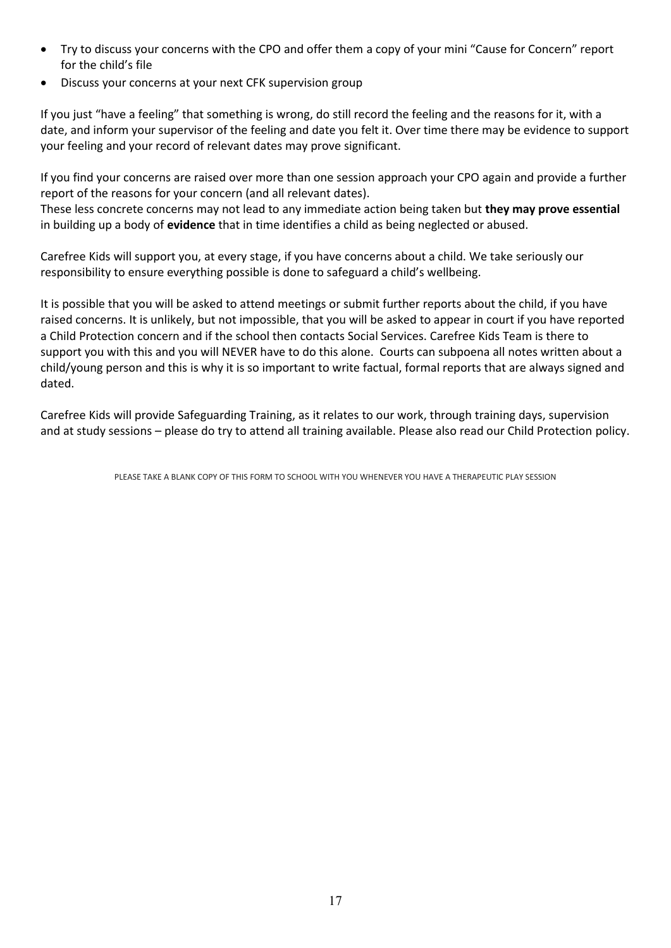- Try to discuss your concerns with the CPO and offer them a copy of your mini "Cause for Concern" report for the child's file
- Discuss your concerns at your next CFK supervision group

If you just "have a feeling" that something is wrong, do still record the feeling and the reasons for it, with a date, and inform your supervisor of the feeling and date you felt it. Over time there may be evidence to support your feeling and your record of relevant dates may prove significant.

If you find your concerns are raised over more than one session approach your CPO again and provide a further report of the reasons for your concern (and all relevant dates).

These less concrete concerns may not lead to any immediate action being taken but **they may prove essential**  in building up a body of **evidence** that in time identifies a child as being neglected or abused.

Carefree Kids will support you, at every stage, if you have concerns about a child. We take seriously our responsibility to ensure everything possible is done to safeguard a child's wellbeing.

It is possible that you will be asked to attend meetings or submit further reports about the child, if you have raised concerns. It is unlikely, but not impossible, that you will be asked to appear in court if you have reported a Child Protection concern and if the school then contacts Social Services. Carefree Kids Team is there to support you with this and you will NEVER have to do this alone. Courts can subpoena all notes written about a child/young person and this is why it is so important to write factual, formal reports that are always signed and dated.

Carefree Kids will provide Safeguarding Training, as it relates to our work, through training days, supervision and at study sessions – please do try to attend all training available. Please also read our Child Protection policy.

PLEASE TAKE A BLANK COPY OF THIS FORM TO SCHOOL WITH YOU WHENEVER YOU HAVE A THERAPEUTIC PLAY SESSION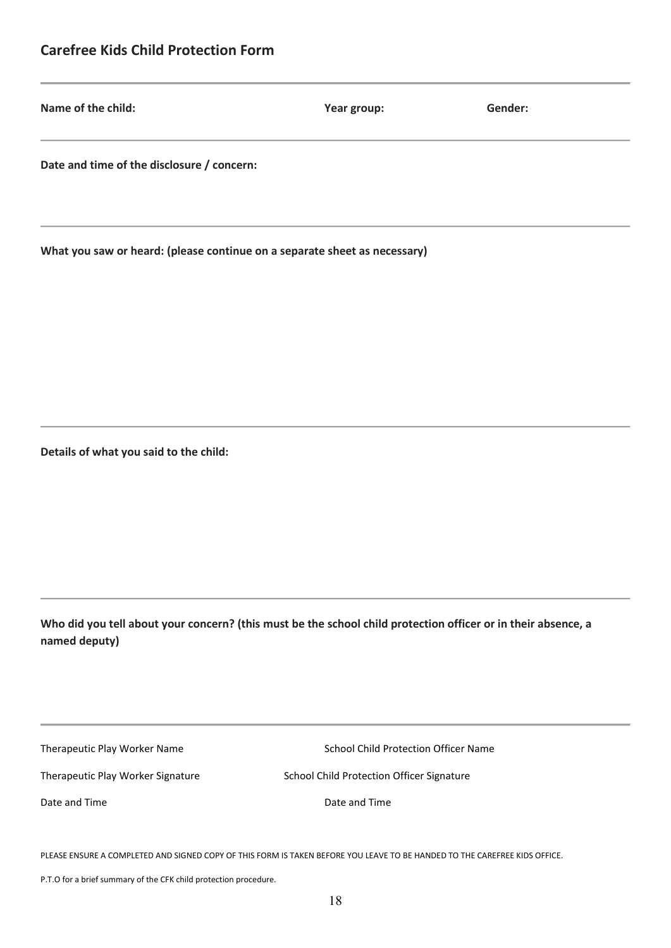## **Carefree Kids Child Protection Form**

| Name of the child:                         | Year group: | Gender: |
|--------------------------------------------|-------------|---------|
| Date and time of the disclosure / concern: |             |         |

**What you saw or heard: (please continue on a separate sheet as necessary)**

**Details of what you said to the child:**

**Who did you tell about your concern? (this must be the school child protection officer or in their absence, a named deputy)**

| Therapeutic Play Worker Name |  |
|------------------------------|--|
|------------------------------|--|

School Child Protection Officer Name

Therapeutic Play Worker Signature School Child Protection Officer Signature

Date and Time Date and Time

PLEASE ENSURE A COMPLETED AND SIGNED COPY OF THIS FORM IS TAKEN BEFORE YOU LEAVE TO BE HANDED TO THE CAREFREE KIDS OFFICE.

P.T.O for a brief summary of the CFK child protection procedure.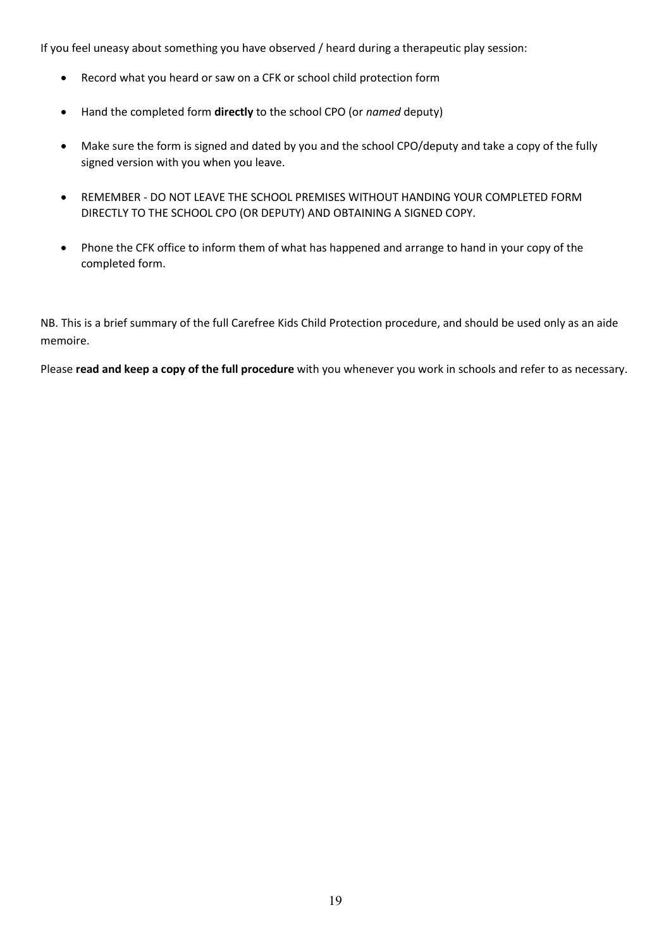If you feel uneasy about something you have observed / heard during a therapeutic play session:

- Record what you heard or saw on a CFK or school child protection form
- Hand the completed form **directly** to the school CPO (or *named* deputy)
- Make sure the form is signed and dated by you and the school CPO/deputy and take a copy of the fully signed version with you when you leave.
- REMEMBER DO NOT LEAVE THE SCHOOL PREMISES WITHOUT HANDING YOUR COMPLETED FORM DIRECTLY TO THE SCHOOL CPO (OR DEPUTY) AND OBTAINING A SIGNED COPY.
- Phone the CFK office to inform them of what has happened and arrange to hand in your copy of the completed form.

NB. This is a brief summary of the full Carefree Kids Child Protection procedure, and should be used only as an aide memoire.

Please **read and keep a copy of the full procedure** with you whenever you work in schools and refer to as necessary.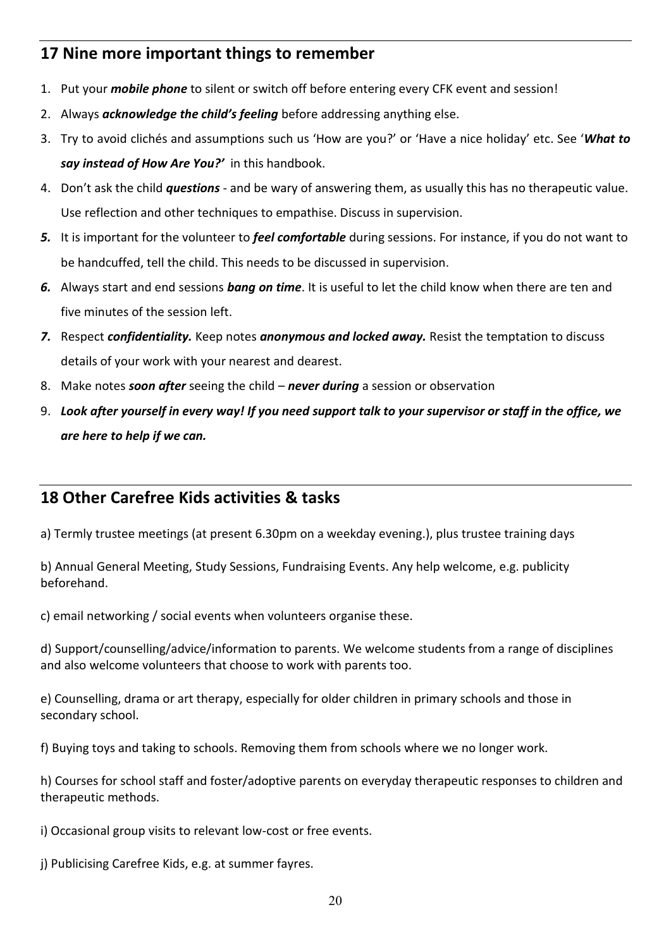## **17 Nine more important things to remember**

- 1. Put your *mobile phone* to silent or switch off before entering every CFK event and session!
- 2. Always *acknowledge the child's feeling* before addressing anything else.
- 3. Try to avoid clichés and assumptions such us 'How are you?' or 'Have a nice holiday' etc. See '*What to say instead of How Are You?'* in this handbook.
- 4. Don't ask the child *questions* and be wary of answering them, as usually this has no therapeutic value. Use reflection and other techniques to empathise. Discuss in supervision.
- *5.* It is important for the volunteer to *feel comfortable* during sessions. For instance, if you do not want to be handcuffed, tell the child. This needs to be discussed in supervision.
- *6.* Always start and end sessions *bang on time*. It is useful to let the child know when there are ten and five minutes of the session left.
- *7.* Respect *confidentiality.* Keep notes *anonymous and locked away.* Resist the temptation to discuss details of your work with your nearest and dearest.
- 8. Make notes *soon after* seeing the child *never during* a session or observation
- 9. *Look after yourself in every way! If you need support talk to your supervisor or staff in the office, we are here to help if we can.*

## **18 Other Carefree Kids activities & tasks**

a) Termly trustee meetings (at present 6.30pm on a weekday evening.), plus trustee training days

b) Annual General Meeting, Study Sessions, Fundraising Events. Any help welcome, e.g. publicity beforehand.

c) email networking / social events when volunteers organise these.

d) Support/counselling/advice/information to parents. We welcome students from a range of disciplines and also welcome volunteers that choose to work with parents too.

e) Counselling, drama or art therapy, especially for older children in primary schools and those in secondary school.

f) Buying toys and taking to schools. Removing them from schools where we no longer work.

h) Courses for school staff and foster/adoptive parents on everyday therapeutic responses to children and therapeutic methods.

i) Occasional group visits to relevant low-cost or free events.

j) Publicising Carefree Kids, e.g. at summer fayres.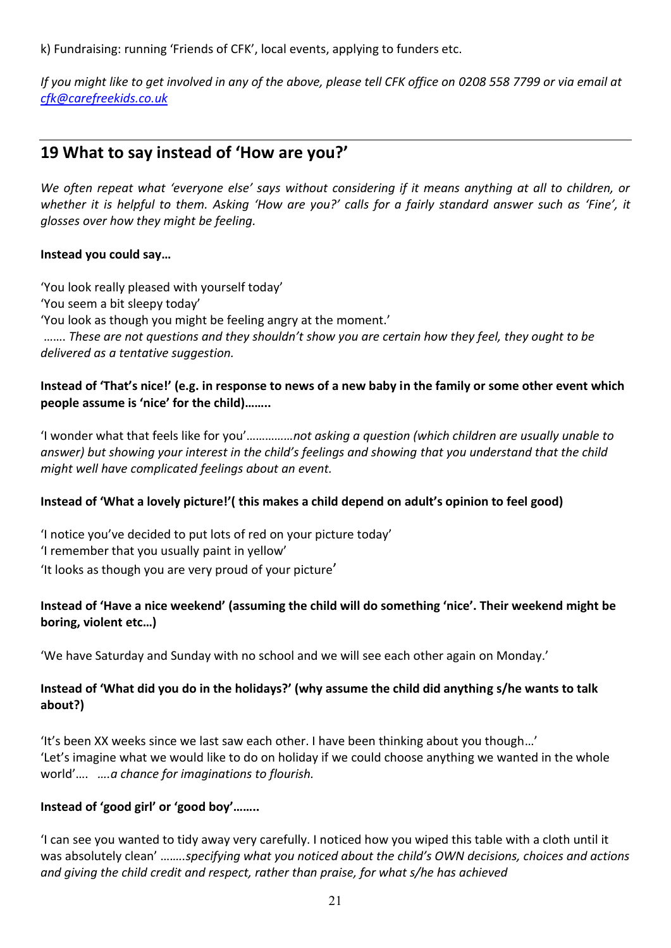k) Fundraising: running 'Friends of CFK', local events, applying to funders etc.

*If you might like to get involved in any of the above, please tell CFK office on 0208 558 7799 or via email at [cfk@carefreekids.co.uk](mailto:cfk@carefreekids.co.uk)*

## **19 What to say instead of 'How are you?'**

*We often repeat what 'everyone else' says without considering if it means anything at all to children, or whether it is helpful to them. Asking 'How are you?' calls for a fairly standard answer such as 'Fine', it glosses over how they might be feeling.* 

#### **Instead you could say…**

'You look really pleased with yourself today'

'You seem a bit sleepy today'

'You look as though you might be feeling angry at the moment.'

……. *These are not questions and they shouldn't show you are certain how they feel, they ought to be delivered as a tentative suggestion.*

#### **Instead of 'That's nice!' (e.g. in response to news of a new baby in the family or some other event which people assume is 'nice' for the child)……..**

'I wonder what that feels like for you'………*……not asking a question (which children are usually unable to answer) but showing your interest in the child's feelings and showing that you understand that the child might well have complicated feelings about an event.*

#### **Instead of 'What a lovely picture!'( this makes a child depend on adult's opinion to feel good)**

'I notice you've decided to put lots of red on your picture today' 'I remember that you usually paint in yellow' 'It looks as though you are very proud of your picture'

## **Instead of 'Have a nice weekend' (assuming the child will do something 'nice'. Their weekend might be boring, violent etc…)**

'We have Saturday and Sunday with no school and we will see each other again on Monday.'

## **Instead of 'What did you do in the holidays?' (why assume the child did anything s/he wants to talk about?)**

'It's been XX weeks since we last saw each other. I have been thinking about you though…' 'Let's imagine what we would like to do on holiday if we could choose anything we wanted in the whole world'…. *….a chance for imaginations to flourish.*

## **Instead of 'good girl' or 'good boy'……..**

'I can see you wanted to tidy away very carefully. I noticed how you wiped this table with a cloth until it was absolutely clean' ….*….specifying what you noticed about the child's OWN decisions, choices and actions and giving the child credit and respect, rather than praise, for what s/he has achieved*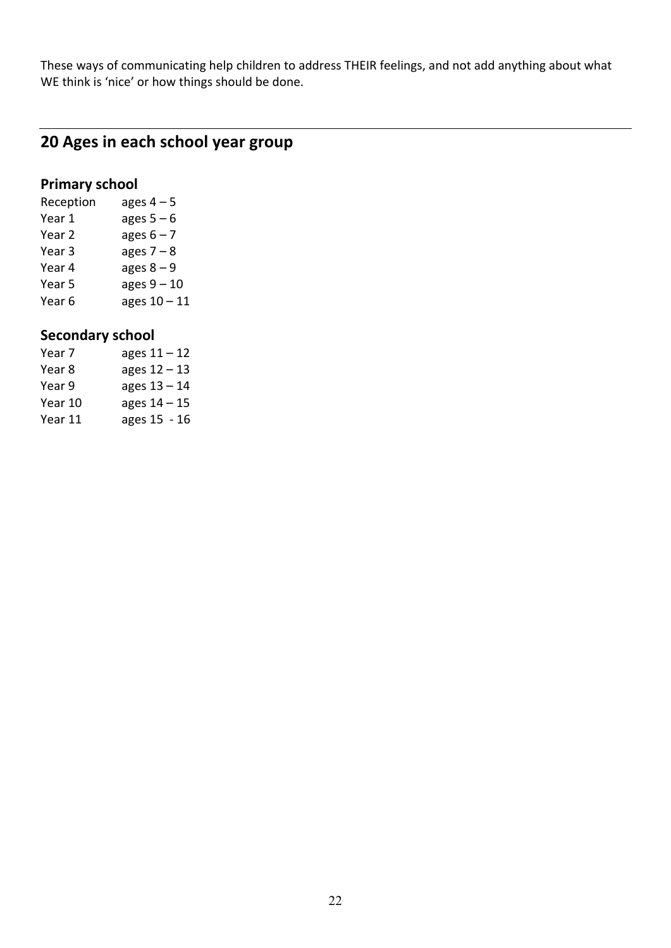These ways of communicating help children to address THEIR feelings, and not add anything about what WE think is 'nice' or how things should be done.

## **20 Ages in each school year group**

## **Primary school**

| Reception | ages $4-5$     |
|-----------|----------------|
| Year 1    | ages $5-6$     |
| Year 2    | ages $6 - 7$   |
| Year 3    | ages $7 - 8$   |
| Year 4    | ages $8 - 9$   |
| Year 5    | ages $9-10$    |
| Year 6    | ages $10 - 11$ |

## **Secondary school**

| Year 7  | ages $11 - 12$ |
|---------|----------------|
| Year 8  | ages $12 - 13$ |
| Year 9  | ages 13 - 14   |
| Year 10 | ages $14 - 15$ |
| Year 11 | ages 15 - 16   |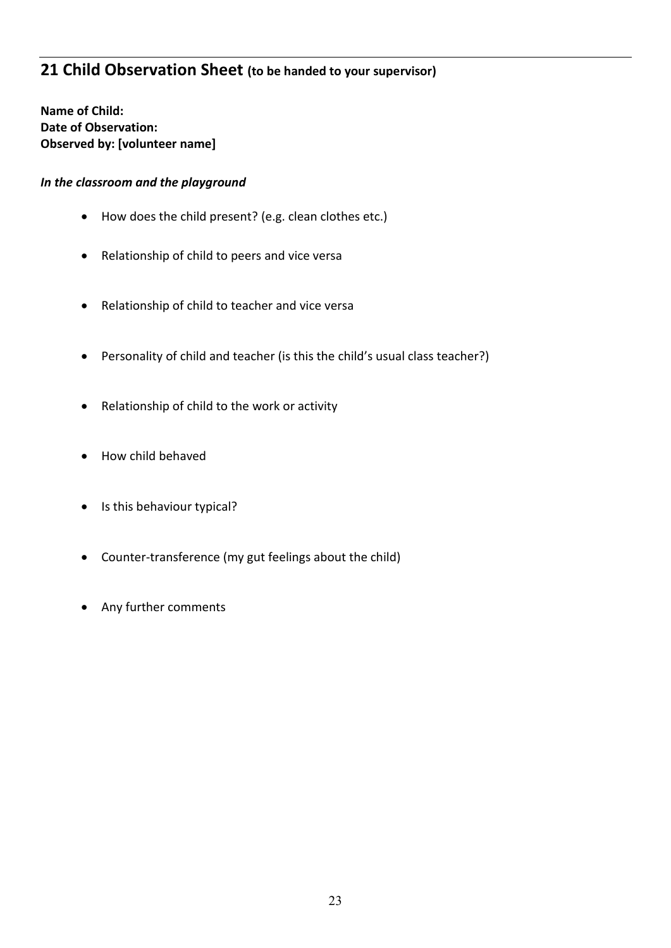## **21 Child Observation Sheet (to be handed to your supervisor)**

**Name of Child: Date of Observation: Observed by: [volunteer name]**

#### *In the classroom and the playground*

- How does the child present? (e.g. clean clothes etc.)
- Relationship of child to peers and vice versa
- Relationship of child to teacher and vice versa
- Personality of child and teacher (is this the child's usual class teacher?)
- Relationship of child to the work or activity
- How child behaved
- Is this behaviour typical?
- Counter-transference (my gut feelings about the child)
- Any further comments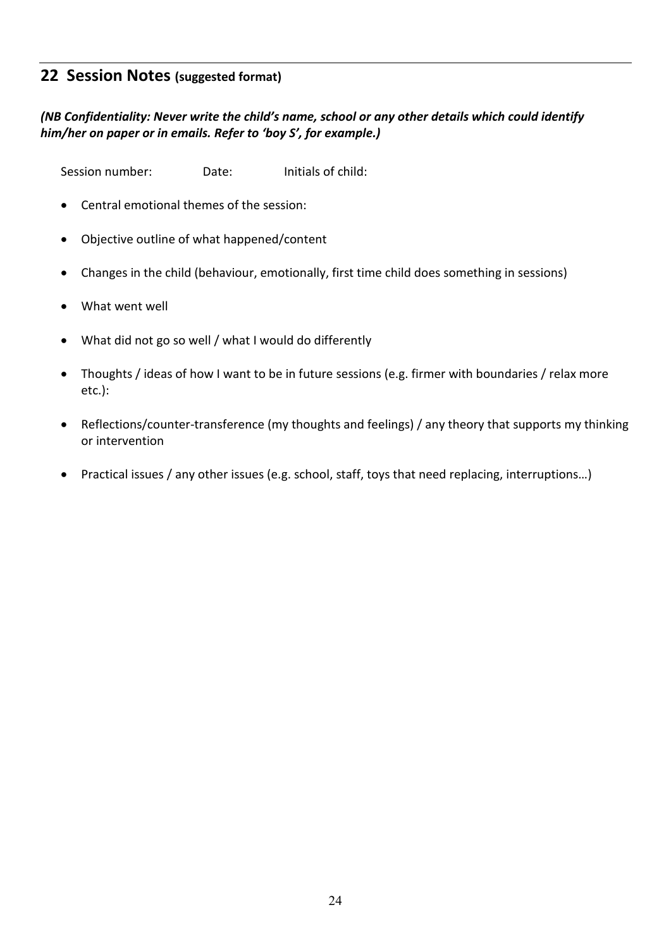## **22 Session Notes (suggested format)**

## *(NB Confidentiality: Never write the child's name, school or any other details which could identify him/her on paper or in emails. Refer to 'boy S', for example.)*

Session number: Date: Initials of child:

- Central emotional themes of the session:
- Objective outline of what happened/content
- Changes in the child (behaviour, emotionally, first time child does something in sessions)
- What went well
- What did not go so well / what I would do differently
- Thoughts / ideas of how I want to be in future sessions (e.g. firmer with boundaries / relax more etc.):
- Reflections/counter-transference (my thoughts and feelings) / any theory that supports my thinking or intervention
- Practical issues / any other issues (e.g. school, staff, toys that need replacing, interruptions…)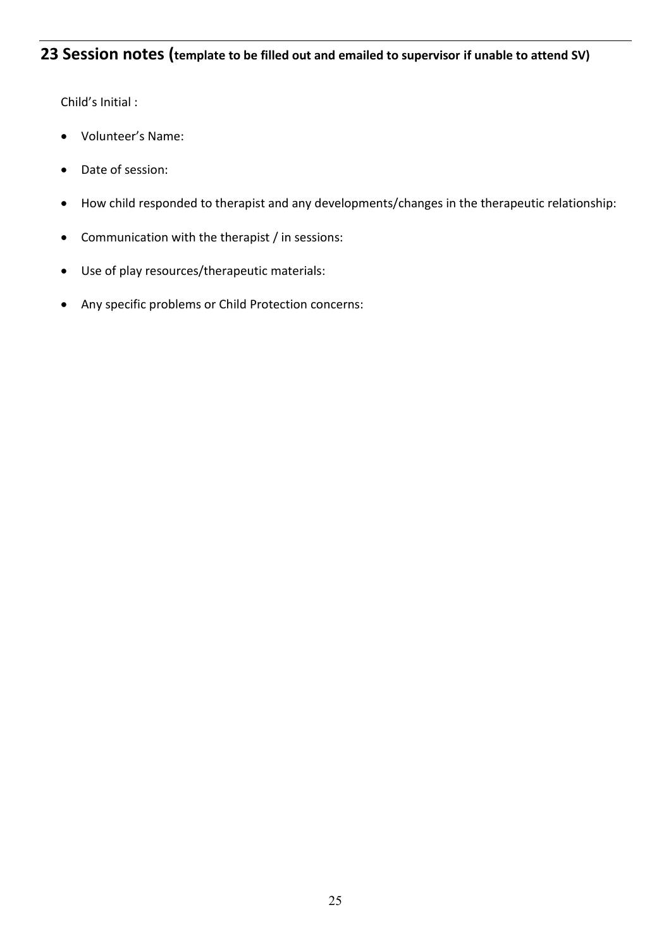## **23 Session notes (template to be filled out and emailed to supervisor if unable to attend SV)**

Child's Initial :

- Volunteer's Name:
- Date of session:
- How child responded to therapist and any developments/changes in the therapeutic relationship:
- Communication with the therapist / in sessions:
- Use of play resources/therapeutic materials:
- Any specific problems or Child Protection concerns: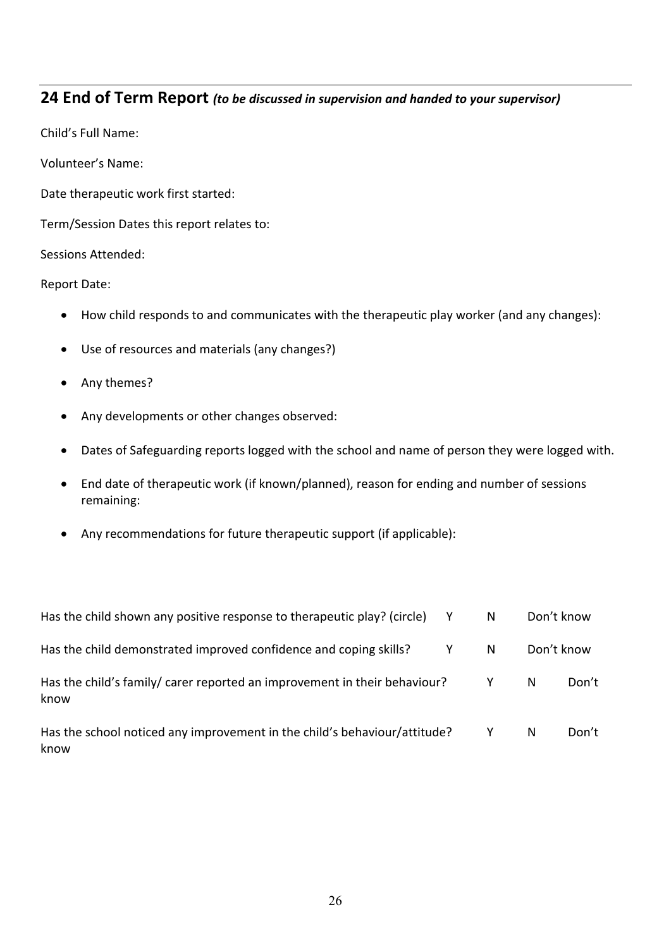## **24 End of Term Report** *(to be discussed in supervision and handed to your supervisor)*

Child's Full Name:

Volunteer's Name:

Date therapeutic work first started:

Term/Session Dates this report relates to:

Sessions Attended:

Report Date:

- How child responds to and communicates with the therapeutic play worker (and any changes):
- Use of resources and materials (any changes?)
- Any themes?
- Any developments or other changes observed:
- Dates of Safeguarding reports logged with the school and name of person they were logged with.
- End date of therapeutic work (if known/planned), reason for ending and number of sessions remaining:
- Any recommendations for future therapeutic support (if applicable):

| Has the child shown any positive response to therapeutic play? (circle)           |   | N     | Don't know |       |
|-----------------------------------------------------------------------------------|---|-------|------------|-------|
| Has the child demonstrated improved confidence and coping skills?                 | Y | N     | Don't know |       |
| Has the child's family/ carer reported an improvement in their behaviour?<br>know |   | - Y - | N          | Don't |
| Has the school noticed any improvement in the child's behaviour/attitude?<br>know |   | Y     | N          | Don't |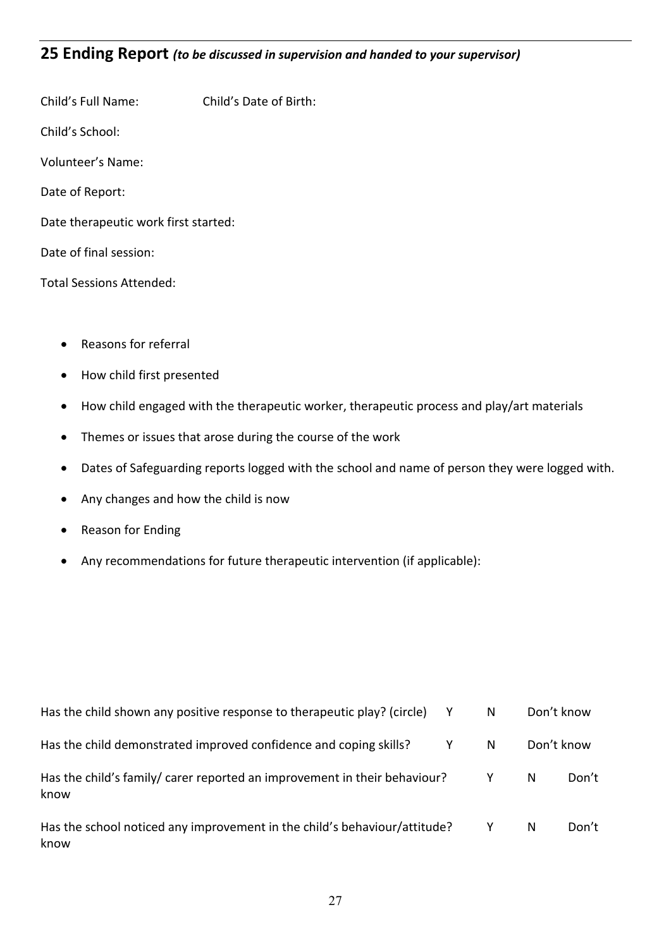## **25 Ending Report** *(to be discussed in supervision and handed to your supervisor)*

- Child's Full Name: Child's Date of Birth: Child's School: Volunteer's Name: Date of Report: Date therapeutic work first started: Date of final session: Total Sessions Attended:
	- Reasons for referral
	- How child first presented
	- How child engaged with the therapeutic worker, therapeutic process and play/art materials
	- Themes or issues that arose during the course of the work
	- Dates of Safeguarding reports logged with the school and name of person they were logged with.
	- Any changes and how the child is now
	- Reason for Ending
	- Any recommendations for future therapeutic intervention (if applicable):

| Has the child shown any positive response to the rapeutic play? (circle)          |   | N            | Don't know |       |
|-----------------------------------------------------------------------------------|---|--------------|------------|-------|
| Has the child demonstrated improved confidence and coping skills?                 | Y | N            | Don't know |       |
| Has the child's family/ carer reported an improvement in their behaviour?<br>know |   | $\mathsf{Y}$ | N          | Don't |
| Has the school noticed any improvement in the child's behaviour/attitude?<br>know |   | Y            | N          | Don't |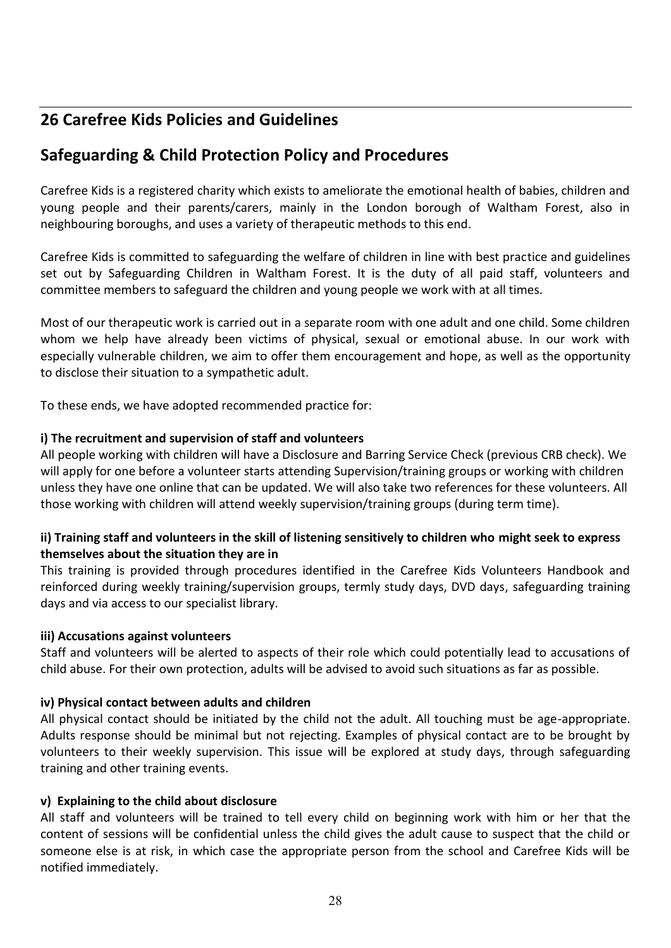## **26 Carefree Kids Policies and Guidelines**

## **Safeguarding & Child Protection Policy and Procedures**

Carefree Kids is a registered charity which exists to ameliorate the emotional health of babies, children and young people and their parents/carers, mainly in the London borough of Waltham Forest, also in neighbouring boroughs, and uses a variety of therapeutic methods to this end.

Carefree Kids is committed to safeguarding the welfare of children in line with best practice and guidelines set out by Safeguarding Children in Waltham Forest. It is the duty of all paid staff, volunteers and committee members to safeguard the children and young people we work with at all times.

Most of our therapeutic work is carried out in a separate room with one adult and one child. Some children whom we help have already been victims of physical, sexual or emotional abuse. In our work with especially vulnerable children, we aim to offer them encouragement and hope, as well as the opportunity to disclose their situation to a sympathetic adult.

To these ends, we have adopted recommended practice for:

## **i) The recruitment and supervision of staff and volunteers**

All people working with children will have a Disclosure and Barring Service Check (previous CRB check). We will apply for one before a volunteer starts attending Supervision/training groups or working with children unless they have one online that can be updated. We will also take two references for these volunteers. All those working with children will attend weekly supervision/training groups (during term time).

## **ii) Training staff and volunteers in the skill of listening sensitively to children who might seek to express themselves about the situation they are in**

This training is provided through procedures identified in the Carefree Kids Volunteers Handbook and reinforced during weekly training/supervision groups, termly study days, DVD days, safeguarding training days and via access to our specialist library.

#### **iii) Accusations against volunteers**

Staff and volunteers will be alerted to aspects of their role which could potentially lead to accusations of child abuse. For their own protection, adults will be advised to avoid such situations as far as possible.

## **iv) Physical contact between adults and children**

All physical contact should be initiated by the child not the adult. All touching must be age-appropriate. Adults response should be minimal but not rejecting. Examples of physical contact are to be brought by volunteers to their weekly supervision. This issue will be explored at study days, through safeguarding training and other training events.

#### **v) Explaining to the child about disclosure**

All staff and volunteers will be trained to tell every child on beginning work with him or her that the content of sessions will be confidential unless the child gives the adult cause to suspect that the child or someone else is at risk, in which case the appropriate person from the school and Carefree Kids will be notified immediately.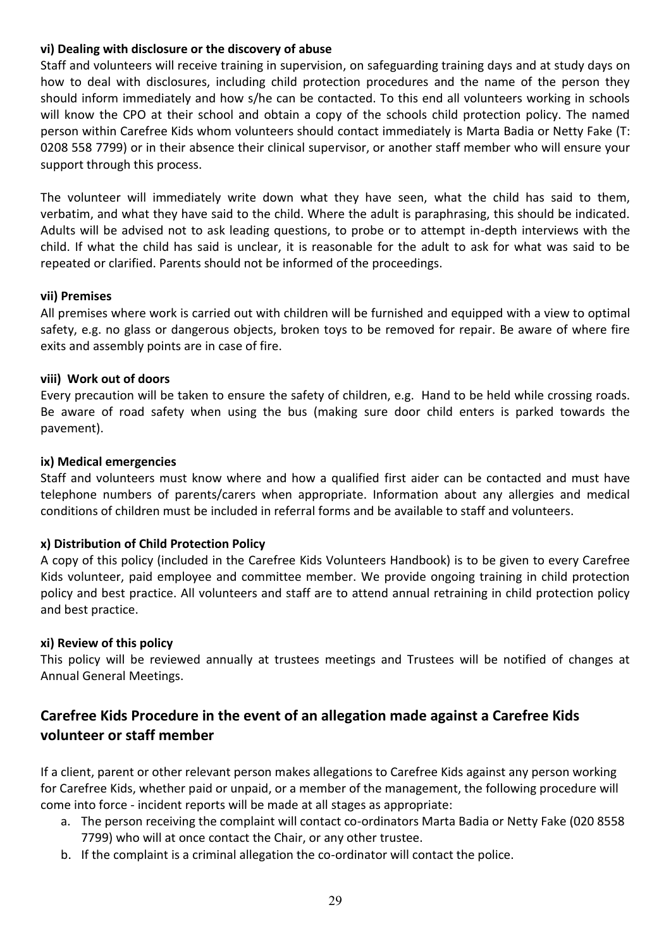#### **vi) Dealing with disclosure or the discovery of abuse**

Staff and volunteers will receive training in supervision, on safeguarding training days and at study days on how to deal with disclosures, including child protection procedures and the name of the person they should inform immediately and how s/he can be contacted. To this end all volunteers working in schools will know the CPO at their school and obtain a copy of the schools child protection policy. The named person within Carefree Kids whom volunteers should contact immediately is Marta Badia or Netty Fake (T: 0208 558 7799) or in their absence their clinical supervisor, or another staff member who will ensure your support through this process.

The volunteer will immediately write down what they have seen, what the child has said to them, verbatim, and what they have said to the child. Where the adult is paraphrasing, this should be indicated. Adults will be advised not to ask leading questions, to probe or to attempt in-depth interviews with the child. If what the child has said is unclear, it is reasonable for the adult to ask for what was said to be repeated or clarified. Parents should not be informed of the proceedings.

#### **vii) Premises**

All premises where work is carried out with children will be furnished and equipped with a view to optimal safety, e.g. no glass or dangerous objects, broken toys to be removed for repair. Be aware of where fire exits and assembly points are in case of fire.

#### **viii) Work out of doors**

Every precaution will be taken to ensure the safety of children, e.g. Hand to be held while crossing roads. Be aware of road safety when using the bus (making sure door child enters is parked towards the pavement).

#### **ix) Medical emergencies**

Staff and volunteers must know where and how a qualified first aider can be contacted and must have telephone numbers of parents/carers when appropriate. Information about any allergies and medical conditions of children must be included in referral forms and be available to staff and volunteers.

#### **x) Distribution of Child Protection Policy**

A copy of this policy (included in the Carefree Kids Volunteers Handbook) is to be given to every Carefree Kids volunteer, paid employee and committee member. We provide ongoing training in child protection policy and best practice. All volunteers and staff are to attend annual retraining in child protection policy and best practice.

#### **xi) Review of this policy**

This policy will be reviewed annually at trustees meetings and Trustees will be notified of changes at Annual General Meetings.

## **Carefree Kids Procedure in the event of an allegation made against a Carefree Kids volunteer or staff member**

If a client, parent or other relevant person makes allegations to Carefree Kids against any person working for Carefree Kids, whether paid or unpaid, or a member of the management, the following procedure will come into force - incident reports will be made at all stages as appropriate:

- a. The person receiving the complaint will contact co-ordinators Marta Badia or Netty Fake (020 8558 7799) who will at once contact the Chair, or any other trustee.
- b. If the complaint is a criminal allegation the co-ordinator will contact the police.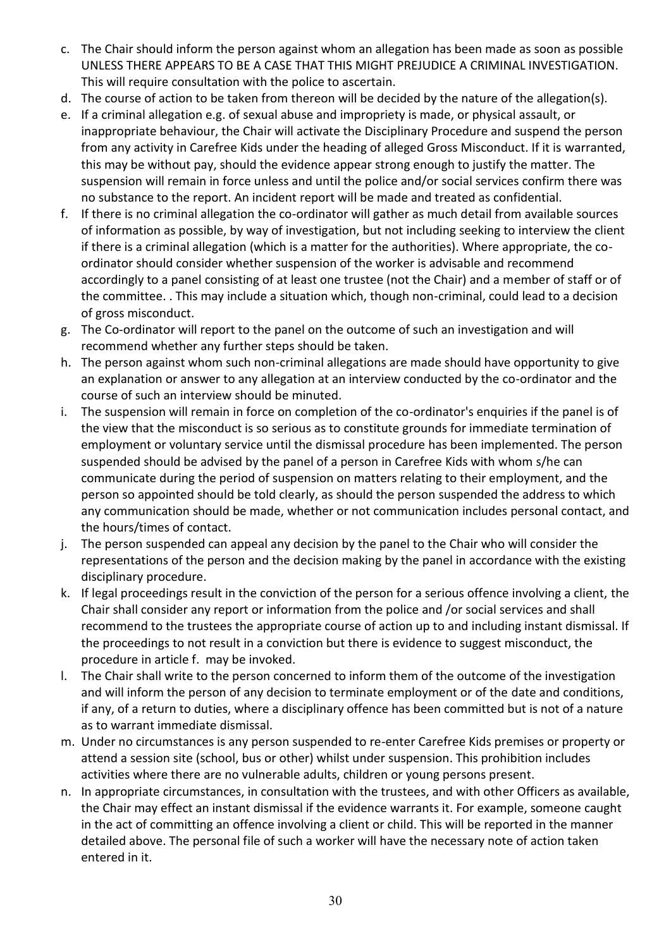- c. The Chair should inform the person against whom an allegation has been made as soon as possible UNLESS THERE APPEARS TO BE A CASE THAT THIS MIGHT PREJUDICE A CRIMINAL INVESTIGATION. This will require consultation with the police to ascertain.
- d. The course of action to be taken from thereon will be decided by the nature of the allegation(s).
- e. If a criminal allegation e.g. of sexual abuse and impropriety is made, or physical assault, or inappropriate behaviour, the Chair will activate the Disciplinary Procedure and suspend the person from any activity in Carefree Kids under the heading of alleged Gross Misconduct. If it is warranted, this may be without pay, should the evidence appear strong enough to justify the matter. The suspension will remain in force unless and until the police and/or social services confirm there was no substance to the report. An incident report will be made and treated as confidential.
- f. If there is no criminal allegation the co-ordinator will gather as much detail from available sources of information as possible, by way of investigation, but not including seeking to interview the client if there is a criminal allegation (which is a matter for the authorities). Where appropriate, the coordinator should consider whether suspension of the worker is advisable and recommend accordingly to a panel consisting of at least one trustee (not the Chair) and a member of staff or of the committee. . This may include a situation which, though non-criminal, could lead to a decision of gross misconduct.
- g. The Co-ordinator will report to the panel on the outcome of such an investigation and will recommend whether any further steps should be taken.
- h. The person against whom such non-criminal allegations are made should have opportunity to give an explanation or answer to any allegation at an interview conducted by the co-ordinator and the course of such an interview should be minuted.
- i. The suspension will remain in force on completion of the co-ordinator's enquiries if the panel is of the view that the misconduct is so serious as to constitute grounds for immediate termination of employment or voluntary service until the dismissal procedure has been implemented. The person suspended should be advised by the panel of a person in Carefree Kids with whom s/he can communicate during the period of suspension on matters relating to their employment, and the person so appointed should be told clearly, as should the person suspended the address to which any communication should be made, whether or not communication includes personal contact, and the hours/times of contact.
- j. The person suspended can appeal any decision by the panel to the Chair who will consider the representations of the person and the decision making by the panel in accordance with the existing disciplinary procedure.
- k. If legal proceedings result in the conviction of the person for a serious offence involving a client, the Chair shall consider any report or information from the police and /or social services and shall recommend to the trustees the appropriate course of action up to and including instant dismissal. If the proceedings to not result in a conviction but there is evidence to suggest misconduct, the procedure in article f. may be invoked.
- l. The Chair shall write to the person concerned to inform them of the outcome of the investigation and will inform the person of any decision to terminate employment or of the date and conditions, if any, of a return to duties, where a disciplinary offence has been committed but is not of a nature as to warrant immediate dismissal.
- m. Under no circumstances is any person suspended to re-enter Carefree Kids premises or property or attend a session site (school, bus or other) whilst under suspension. This prohibition includes activities where there are no vulnerable adults, children or young persons present.
- n. In appropriate circumstances, in consultation with the trustees, and with other Officers as available, the Chair may effect an instant dismissal if the evidence warrants it. For example, someone caught in the act of committing an offence involving a client or child. This will be reported in the manner detailed above. The personal file of such a worker will have the necessary note of action taken entered in it.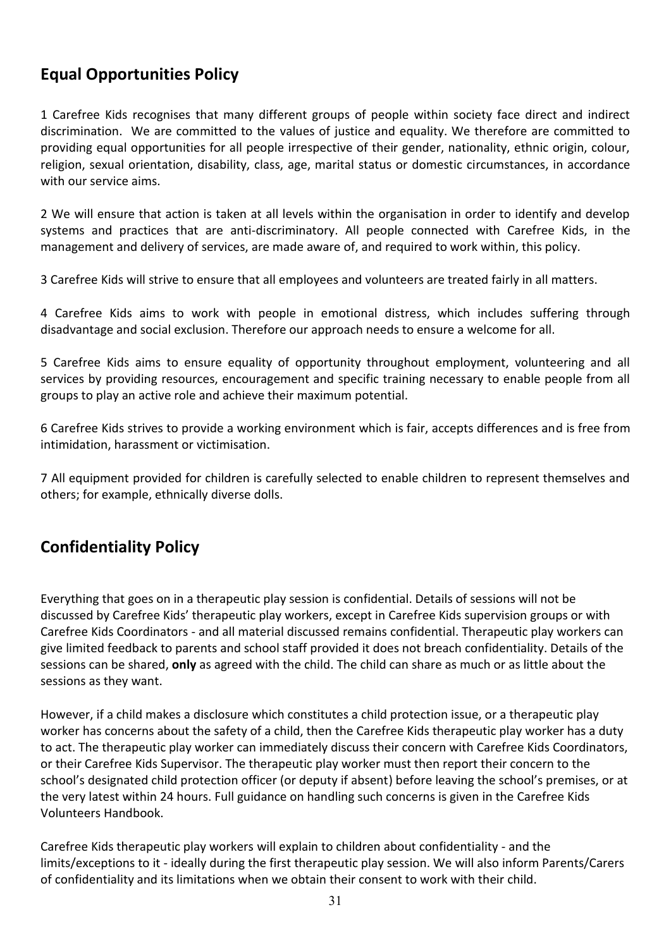## **Equal Opportunities Policy**

1 Carefree Kids recognises that many different groups of people within society face direct and indirect discrimination. We are committed to the values of justice and equality. We therefore are committed to providing equal opportunities for all people irrespective of their gender, nationality, ethnic origin, colour, religion, sexual orientation, disability, class, age, marital status or domestic circumstances, in accordance with our service aims.

2 We will ensure that action is taken at all levels within the organisation in order to identify and develop systems and practices that are anti-discriminatory. All people connected with Carefree Kids, in the management and delivery of services, are made aware of, and required to work within, this policy.

3 Carefree Kids will strive to ensure that all employees and volunteers are treated fairly in all matters.

4 Carefree Kids aims to work with people in emotional distress, which includes suffering through disadvantage and social exclusion. Therefore our approach needs to ensure a welcome for all.

5 Carefree Kids aims to ensure equality of opportunity throughout employment, volunteering and all services by providing resources, encouragement and specific training necessary to enable people from all groups to play an active role and achieve their maximum potential.

6 Carefree Kids strives to provide a working environment which is fair, accepts differences and is free from intimidation, harassment or victimisation.

7 All equipment provided for children is carefully selected to enable children to represent themselves and others; for example, ethnically diverse dolls.

## **Confidentiality Policy**

Everything that goes on in a therapeutic play session is confidential. Details of sessions will not be discussed by Carefree Kids' therapeutic play workers, except in Carefree Kids supervision groups or with Carefree Kids Coordinators - and all material discussed remains confidential. Therapeutic play workers can give limited feedback to parents and school staff provided it does not breach confidentiality. Details of the sessions can be shared, **only** as agreed with the child. The child can share as much or as little about the sessions as they want.

However, if a child makes a disclosure which constitutes a child protection issue, or a therapeutic play worker has concerns about the safety of a child, then the Carefree Kids therapeutic play worker has a duty to act. The therapeutic play worker can immediately discuss their concern with Carefree Kids Coordinators, or their Carefree Kids Supervisor. The therapeutic play worker must then report their concern to the school's designated child protection officer (or deputy if absent) before leaving the school's premises, or at the very latest within 24 hours. Full guidance on handling such concerns is given in the Carefree Kids Volunteers Handbook.

Carefree Kids therapeutic play workers will explain to children about confidentiality - and the limits/exceptions to it - ideally during the first therapeutic play session. We will also inform Parents/Carers of confidentiality and its limitations when we obtain their consent to work with their child.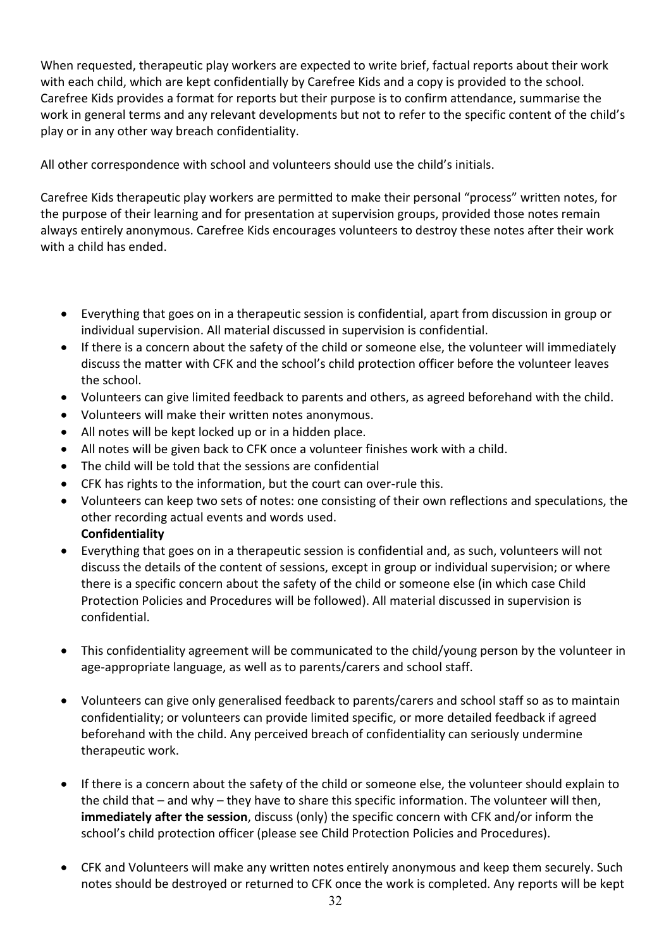When requested, therapeutic play workers are expected to write brief, factual reports about their work with each child, which are kept confidentially by Carefree Kids and a copy is provided to the school. Carefree Kids provides a format for reports but their purpose is to confirm attendance, summarise the work in general terms and any relevant developments but not to refer to the specific content of the child's play or in any other way breach confidentiality.

All other correspondence with school and volunteers should use the child's initials.

Carefree Kids therapeutic play workers are permitted to make their personal "process" written notes, for the purpose of their learning and for presentation at supervision groups, provided those notes remain always entirely anonymous. Carefree Kids encourages volunteers to destroy these notes after their work with a child has ended.

- Everything that goes on in a therapeutic session is confidential, apart from discussion in group or individual supervision. All material discussed in supervision is confidential.
- If there is a concern about the safety of the child or someone else, the volunteer will immediately discuss the matter with CFK and the school's child protection officer before the volunteer leaves the school.
- Volunteers can give limited feedback to parents and others, as agreed beforehand with the child.
- Volunteers will make their written notes anonymous.
- All notes will be kept locked up or in a hidden place.
- All notes will be given back to CFK once a volunteer finishes work with a child.
- The child will be told that the sessions are confidential
- CFK has rights to the information, but the court can over-rule this.
- Volunteers can keep two sets of notes: one consisting of their own reflections and speculations, the other recording actual events and words used. **Confidentiality**
- Everything that goes on in a therapeutic session is confidential and, as such, volunteers will not discuss the details of the content of sessions, except in group or individual supervision; or where there is a specific concern about the safety of the child or someone else (in which case Child Protection Policies and Procedures will be followed). All material discussed in supervision is confidential.
- This confidentiality agreement will be communicated to the child/young person by the volunteer in age-appropriate language, as well as to parents/carers and school staff.
- Volunteers can give only generalised feedback to parents/carers and school staff so as to maintain confidentiality; or volunteers can provide limited specific, or more detailed feedback if agreed beforehand with the child. Any perceived breach of confidentiality can seriously undermine therapeutic work.
- If there is a concern about the safety of the child or someone else, the volunteer should explain to the child that – and why – they have to share this specific information. The volunteer will then, **immediately after the session**, discuss (only) the specific concern with CFK and/or inform the school's child protection officer (please see Child Protection Policies and Procedures).
- CFK and Volunteers will make any written notes entirely anonymous and keep them securely. Such notes should be destroyed or returned to CFK once the work is completed. Any reports will be kept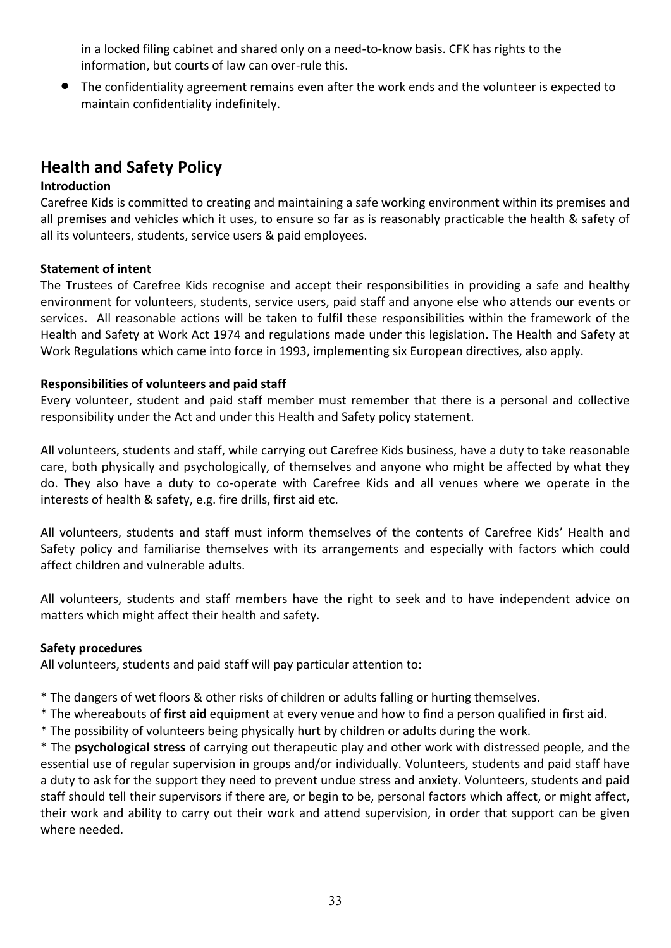in a locked filing cabinet and shared only on a need-to-know basis. CFK has rights to the information, but courts of law can over-rule this.

• The confidentiality agreement remains even after the work ends and the volunteer is expected to maintain confidentiality indefinitely.

## **Health and Safety Policy**

#### **Introduction**

Carefree Kids is committed to creating and maintaining a safe working environment within its premises and all premises and vehicles which it uses, to ensure so far as is reasonably practicable the health & safety of all its volunteers, students, service users & paid employees.

#### **Statement of intent**

The Trustees of Carefree Kids recognise and accept their responsibilities in providing a safe and healthy environment for volunteers, students, service users, paid staff and anyone else who attends our events or services. All reasonable actions will be taken to fulfil these responsibilities within the framework of the Health and Safety at Work Act 1974 and regulations made under this legislation. The Health and Safety at Work Regulations which came into force in 1993, implementing six European directives, also apply.

#### **Responsibilities of volunteers and paid staff**

Every volunteer, student and paid staff member must remember that there is a personal and collective responsibility under the Act and under this Health and Safety policy statement.

All volunteers, students and staff, while carrying out Carefree Kids business, have a duty to take reasonable care, both physically and psychologically, of themselves and anyone who might be affected by what they do. They also have a duty to co-operate with Carefree Kids and all venues where we operate in the interests of health & safety, e.g. fire drills, first aid etc.

All volunteers, students and staff must inform themselves of the contents of Carefree Kids' Health and Safety policy and familiarise themselves with its arrangements and especially with factors which could affect children and vulnerable adults.

All volunteers, students and staff members have the right to seek and to have independent advice on matters which might affect their health and safety.

#### **Safety procedures**

All volunteers, students and paid staff will pay particular attention to:

- \* The dangers of wet floors & other risks of children or adults falling or hurting themselves.
- \* The whereabouts of **first aid** equipment at every venue and how to find a person qualified in first aid.
- \* The possibility of volunteers being physically hurt by children or adults during the work.

\* The **psychological stress** of carrying out therapeutic play and other work with distressed people, and the essential use of regular supervision in groups and/or individually. Volunteers, students and paid staff have a duty to ask for the support they need to prevent undue stress and anxiety. Volunteers, students and paid staff should tell their supervisors if there are, or begin to be, personal factors which affect, or might affect, their work and ability to carry out their work and attend supervision, in order that support can be given where needed.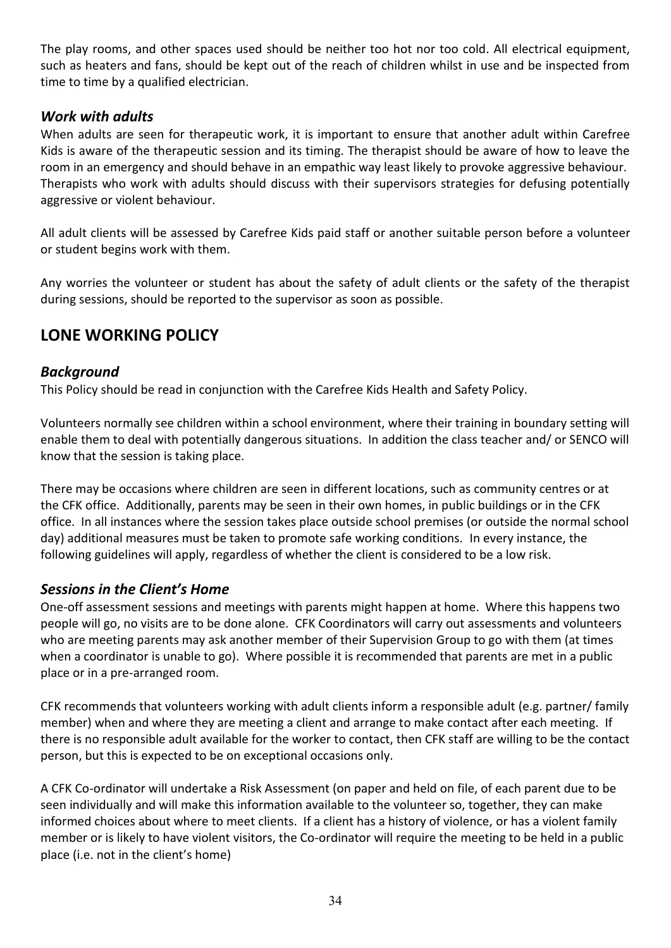The play rooms, and other spaces used should be neither too hot nor too cold. All electrical equipment, such as heaters and fans, should be kept out of the reach of children whilst in use and be inspected from time to time by a qualified electrician.

## *Work with adults*

When adults are seen for therapeutic work, it is important to ensure that another adult within Carefree Kids is aware of the therapeutic session and its timing. The therapist should be aware of how to leave the room in an emergency and should behave in an empathic way least likely to provoke aggressive behaviour. Therapists who work with adults should discuss with their supervisors strategies for defusing potentially aggressive or violent behaviour.

All adult clients will be assessed by Carefree Kids paid staff or another suitable person before a volunteer or student begins work with them.

Any worries the volunteer or student has about the safety of adult clients or the safety of the therapist during sessions, should be reported to the supervisor as soon as possible.

## **LONE WORKING POLICY**

## *Background*

This Policy should be read in conjunction with the Carefree Kids Health and Safety Policy.

Volunteers normally see children within a school environment, where their training in boundary setting will enable them to deal with potentially dangerous situations. In addition the class teacher and/ or SENCO will know that the session is taking place.

There may be occasions where children are seen in different locations, such as community centres or at the CFK office. Additionally, parents may be seen in their own homes, in public buildings or in the CFK office. In all instances where the session takes place outside school premises (or outside the normal school day) additional measures must be taken to promote safe working conditions. In every instance, the following guidelines will apply, regardless of whether the client is considered to be a low risk.

## *Sessions in the Client's Home*

One-off assessment sessions and meetings with parents might happen at home. Where this happens two people will go, no visits are to be done alone. CFK Coordinators will carry out assessments and volunteers who are meeting parents may ask another member of their Supervision Group to go with them (at times when a coordinator is unable to go). Where possible it is recommended that parents are met in a public place or in a pre-arranged room.

CFK recommends that volunteers working with adult clients inform a responsible adult (e.g. partner/ family member) when and where they are meeting a client and arrange to make contact after each meeting. If there is no responsible adult available for the worker to contact, then CFK staff are willing to be the contact person, but this is expected to be on exceptional occasions only.

A CFK Co-ordinator will undertake a Risk Assessment (on paper and held on file, of each parent due to be seen individually and will make this information available to the volunteer so, together, they can make informed choices about where to meet clients. If a client has a history of violence, or has a violent family member or is likely to have violent visitors, the Co-ordinator will require the meeting to be held in a public place (i.e. not in the client's home)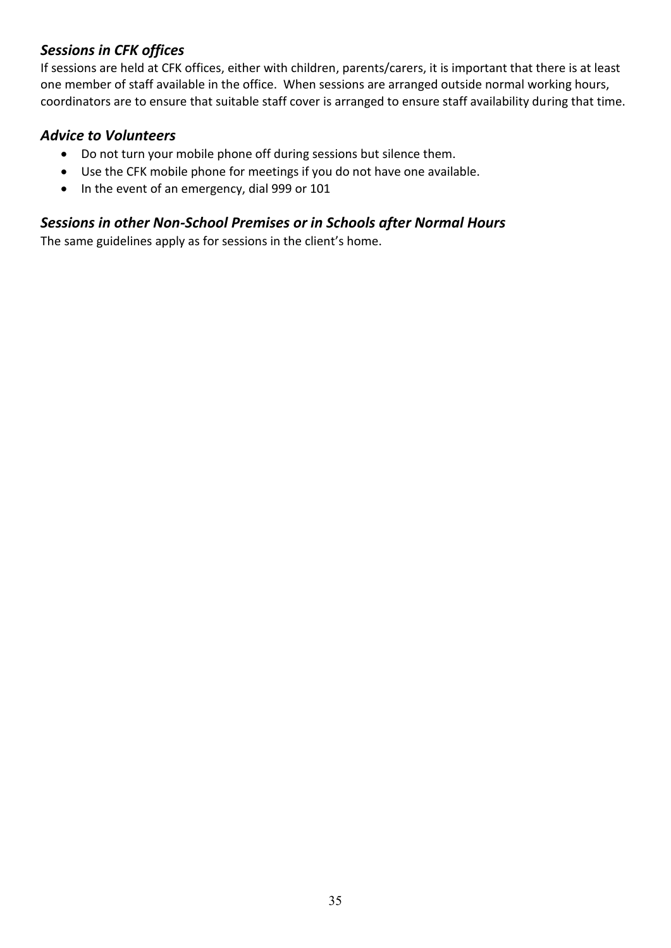## *Sessions in CFK offices*

If sessions are held at CFK offices, either with children, parents/carers, it is important that there is at least one member of staff available in the office. When sessions are arranged outside normal working hours, coordinators are to ensure that suitable staff cover is arranged to ensure staff availability during that time.

## *Advice to Volunteers*

- Do not turn your mobile phone off during sessions but silence them.
- Use the CFK mobile phone for meetings if you do not have one available.
- In the event of an emergency, dial 999 or 101

## *Sessions in other Non-School Premises or in Schools after Normal Hours*

The same guidelines apply as for sessions in the client's home.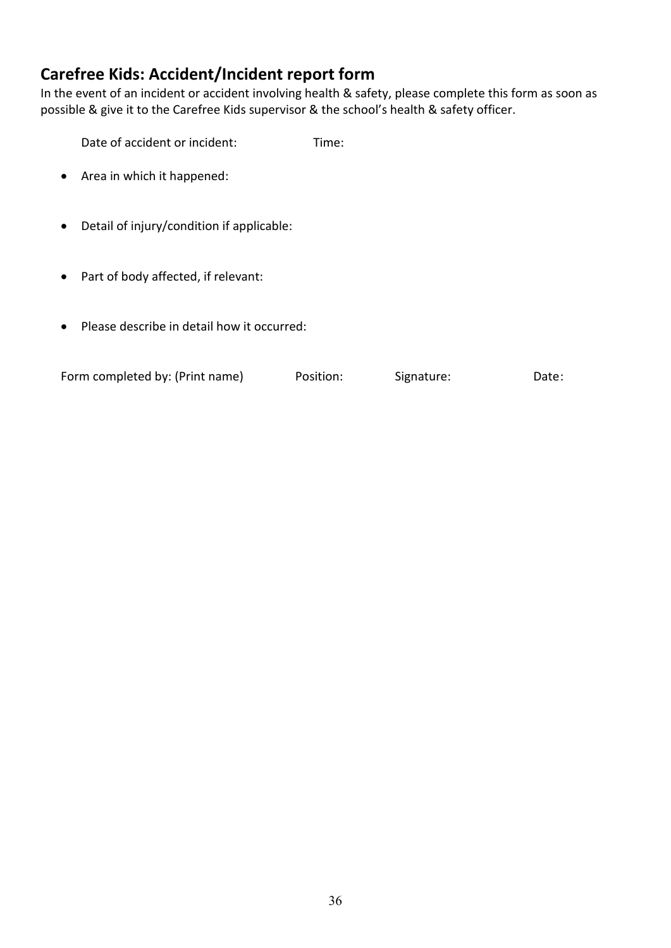## **Carefree Kids: Accident/Incident report form**

In the event of an incident or accident involving health & safety, please complete this form as soon as possible & give it to the Carefree Kids supervisor & the school's health & safety officer.

Date of accident or incident: Time:

- Area in which it happened:
- Detail of injury/condition if applicable:
- Part of body affected, if relevant:
- Please describe in detail how it occurred:

| Form completed by: (Print name) | Position: | Signature: | Date: |
|---------------------------------|-----------|------------|-------|
|                                 |           |            |       |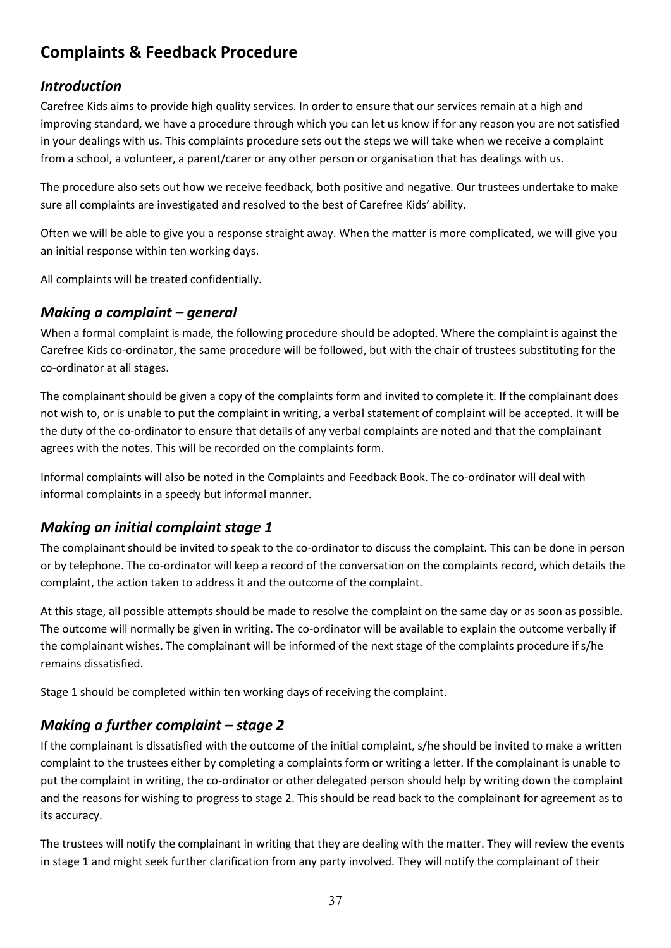## **Complaints & Feedback Procedure**

## *Introduction*

Carefree Kids aims to provide high quality services. In order to ensure that our services remain at a high and improving standard, we have a procedure through which you can let us know if for any reason you are not satisfied in your dealings with us. This complaints procedure sets out the steps we will take when we receive a complaint from a school, a volunteer, a parent/carer or any other person or organisation that has dealings with us.

The procedure also sets out how we receive feedback, both positive and negative. Our trustees undertake to make sure all complaints are investigated and resolved to the best of Carefree Kids' ability.

Often we will be able to give you a response straight away. When the matter is more complicated, we will give you an initial response within ten working days.

All complaints will be treated confidentially.

## *Making a complaint – general*

When a formal complaint is made, the following procedure should be adopted. Where the complaint is against the Carefree Kids co-ordinator, the same procedure will be followed, but with the chair of trustees substituting for the co-ordinator at all stages.

The complainant should be given a copy of the complaints form and invited to complete it. If the complainant does not wish to, or is unable to put the complaint in writing, a verbal statement of complaint will be accepted. It will be the duty of the co-ordinator to ensure that details of any verbal complaints are noted and that the complainant agrees with the notes. This will be recorded on the complaints form.

Informal complaints will also be noted in the Complaints and Feedback Book. The co-ordinator will deal with informal complaints in a speedy but informal manner.

## *Making an initial complaint stage 1*

The complainant should be invited to speak to the co-ordinator to discuss the complaint. This can be done in person or by telephone. The co-ordinator will keep a record of the conversation on the complaints record, which details the complaint, the action taken to address it and the outcome of the complaint.

At this stage, all possible attempts should be made to resolve the complaint on the same day or as soon as possible. The outcome will normally be given in writing. The co-ordinator will be available to explain the outcome verbally if the complainant wishes. The complainant will be informed of the next stage of the complaints procedure if s/he remains dissatisfied.

Stage 1 should be completed within ten working days of receiving the complaint.

## *Making a further complaint – stage 2*

If the complainant is dissatisfied with the outcome of the initial complaint, s/he should be invited to make a written complaint to the trustees either by completing a complaints form or writing a letter. If the complainant is unable to put the complaint in writing, the co-ordinator or other delegated person should help by writing down the complaint and the reasons for wishing to progress to stage 2. This should be read back to the complainant for agreement as to its accuracy.

The trustees will notify the complainant in writing that they are dealing with the matter. They will review the events in stage 1 and might seek further clarification from any party involved. They will notify the complainant of their